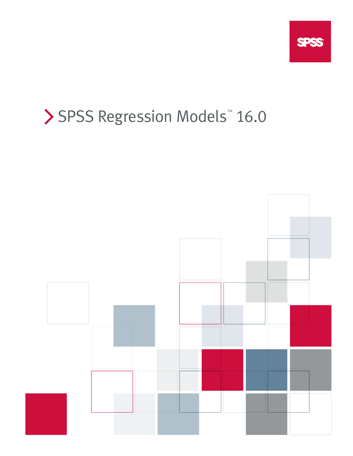

# SPSS Regression Models<sup>™</sup> 16.0

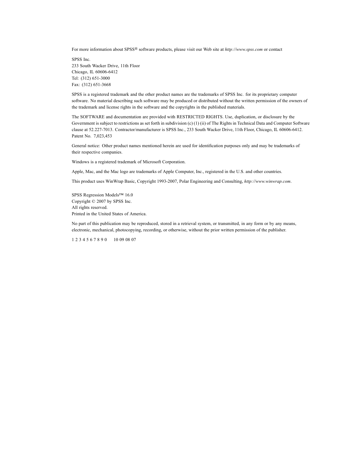For more information about SPSS® software products, please visit our Web site at *http://www.spss.com* or contact

SPSS Inc. 233 South Wacker Drive, 11th Floor Chicago, IL 60606-6412 Tel: (312) 651-3000 Fax: (312) 651-3668

SPSS is a registered trademark and the other product names are the trademarks of SPSS Inc. for its proprietary computer software. No material describing such software may be produced or distributed without the written permission of the owners of the trademark and license rights in the software and the copyrights in the published materials.

The SOFTWARE and documentation are provided with RESTRICTED RIGHTS. Use, duplication, or disclosure by the Government is subject to restrictions as set forth in subdivision (c) (1) (ii) of The Rights in Technical Data and Computer Software clause at 52.227-7013. Contractor/manufacturer is SPSS Inc., 233 South Wacker Drive, 11th Floor, Chicago, IL 60606-6412. Patent No. 7,023,453

General notice: Other product names mentioned herein are used for identification purposes only and may be trademarks of their respective companies.

Windows is a registered trademark of Microsoft Corporation.

Apple, Mac, and the Mac logo are trademarks of Apple Computer, Inc., registered in the U.S. and other countries.

This product uses WinWrap Basic, Copyright 1993-2007, Polar Engineering and Consulting, *http://www.winwrap.com*.

SPSS Regression Models™ 16.0 Copyright © 2007 by SPSS Inc. All rights reserved. Printed in the United States of America.

No part of this publication may be reproduced, stored in a retrieval system, or transmitted, in any form or by any means, electronic, mechanical, photocopying, recording, or otherwise, without the prior written permission of the publisher.

1 2 3 4 5 6 7 8 9 0 10 09 08 07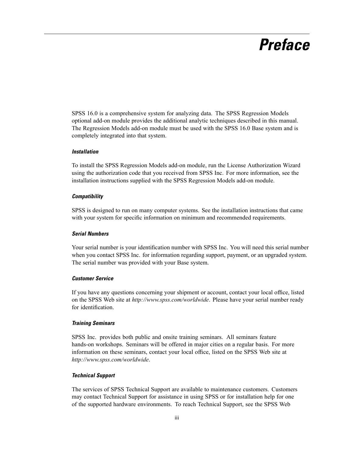## *Preface*

SPSS 16.0 is a comprehensive system for analyzing data. The SPSS Regression Models optional add-on module provides the additional analytic techniques described in this manual. The Regression Models add-on module must be used with the SPSS 16.0 Base system and is completely integrated into that system.

### *Installation*

To install the SPSS Regression Models add-on module, run the License Authorization Wizard using the authorization code that you received from SPSS Inc. For more information, see the installation instructions supplied with the SPSS Regression Models add-on module.

### *Compatibility*

SPSS is designed to run on many computer systems. See the installation instructions that came with your system for specific information on minimum and recommended requirements.

### *Serial Numbers*

Your serial number is your identification number with SPSS Inc. You will need this serial number when you contact SPSS Inc. for information regarding support, payment, or an upgraded system. The serial number was provided with your Base system.

### *Customer Service*

If you have any questions concerning your shipment or account, contact your local office, listed on the SPSS Web site at *http://www.spss.com/worldwide*. Please have your serial number ready for identification.

### *Training Seminars*

SPSS Inc. provides both public and onsite training seminars. All seminars feature hands-on workshops. Seminars will be offered in major cities on a regular basis. For more information on these seminars, contact your local office, listed on the SPSS Web site at *http://www.spss.com/worldwide*.

### *Technical Support*

The services of SPSS Technical Support are available to maintenance customers. Customers may contact Technical Support for assistance in using SPSS or for installation help for one of the supported hardware environments. To reach Technical Support, see the SPSS Web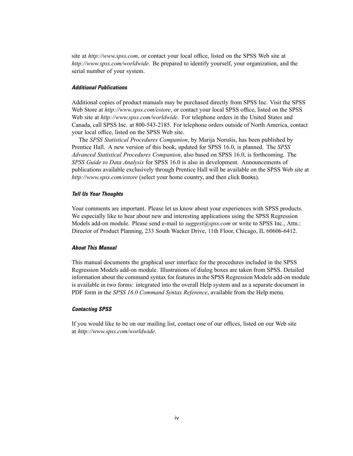site at *http://www.spss.com*, or contact your local office, listed on the SPSS Web site at *http://www.spss.com/worldwide*. Be prepared to identify yourself, your organization, and the serial number of your system.

### *Additional Publications*

Additional copies of product manuals may be purchased directly from SPSS Inc. Visit the SPSS Web Store at *http://www.spss.com/estore*, or contact your local SPSS office, listed on the SPSS Web site at *http://www.spss.com/worldwide*. For telephone orders in the United States and Canada, call SPSS Inc. at 800-543-2185. For telephone orders outside of North America, contact your local office, listed on the SPSS Web site.

The *SPSS Statistical Procedures Companion*, by Marija Norušis, has been published by Prentice Hall. A new version of this book, updated for SPSS 16.0, is planned. The *SPSS Advanced Statistical Procedures Companion*, also based on SPSS 16.0, is forthcoming. The *SPSS Guide to Data Analysis* for SPSS 16.0 is also in development. Announcements of publications available exclusively through Prentice Hall will be available on the SPSS Web site at *http://www.spss.com/estore* (select your home country, and then click Books).

#### *Tell Us Your Thoughts*

Your comments are important. Please let us know about your experiences with SPSS products. We especially like to hear about new and interesting applications using the SPSS Regression Models add-on module. Please send e-mail to *suggest@spss.com* or write to SPSS Inc., Attn.: Director of Product Planning, 233 South Wacker Drive, 11th Floor, Chicago, IL 60606-6412.

#### *About This Manual*

This manual documents the graphical user interface for the procedures included in the SPSS Regression Models add-on module. Illustrations of dialog boxes are taken from SPSS. Detailed information about the command syntax for features in the SPSS Regression Models add-on module is available in two forms: integrated into the overall Help system and as a separate document in PDF form in the *SPSS 16.0 Command Syntax Reference*, available from the Help menu.

### *Contacting SPSS*

If you would like to be on our mailing list, contact one of our offices, listed on our Web site at *http://www.spss.com/worldwide*.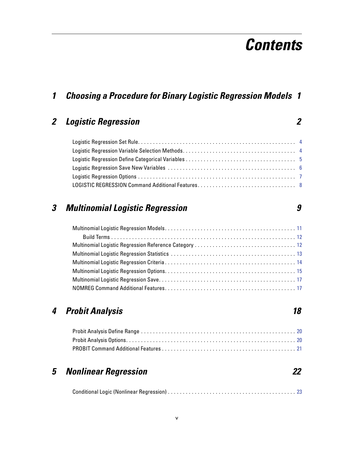## *Contents*

| $\mathbf{2}$ | <b>Logistic Regression</b>             | 2  |
|--------------|----------------------------------------|----|
|              |                                        |    |
|              |                                        |    |
|              |                                        |    |
|              |                                        |    |
|              |                                        |    |
|              |                                        |    |
| 3            | <b>Multinomial Logistic Regression</b> | 9  |
|              |                                        |    |
|              |                                        |    |
|              |                                        |    |
|              |                                        |    |
|              |                                        |    |
|              |                                        |    |
|              |                                        |    |
|              |                                        |    |
| 4            | <b>Probit Analysis</b>                 | 18 |
|              |                                        |    |
|              |                                        |    |
|              |                                        |    |
| 5            | <b>Nonlinear Regression</b>            | 22 |

*1 Choosing a Procedure for Binary Logistic Regression Models [1](#page-6-0)*

|--|--|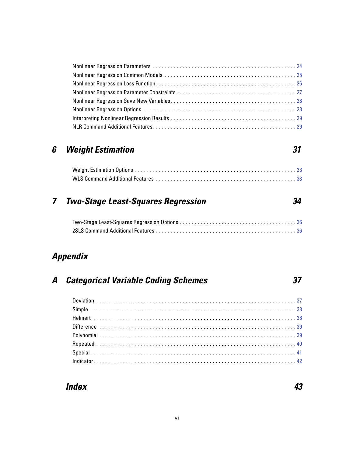## *6 Weight Estimation [31](#page-36-0)*

## *7 Two-Stage Least-Squares Regression [34](#page-39-0)*

## *Appendix*

|  | <b>A</b> Categorical Variable Coding Schemes |  |
|--|----------------------------------------------|--|
|--|----------------------------------------------|--|

### *Index [43](#page-48-0)*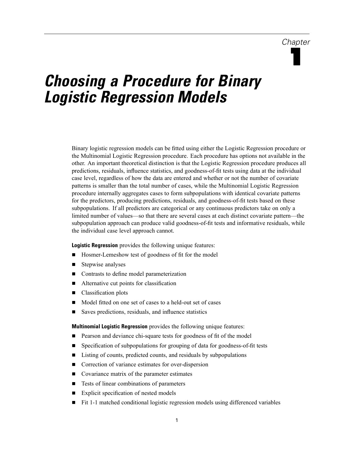## <span id="page-6-0"></span>*Choosing a Procedure for Binary Logistic Regression Models*

Binary logistic regression models can be fitted using either the Logistic Regression procedure or the Multinomial Logistic Regression procedure. Each procedure has options not available in the other. An important theoretical distinction is that the Logistic Regression procedure produces all predictions, residuals, influence statistics, and goodness-of-fit tests using data at the individual case level, regardless of how the data are entered and whether or not the number of covariate patterns is smaller than the total number of cases, while the Multinomial Logistic Regression procedure internally aggregates cases to form subpopulations with identical covariate patterns for the predictors, producing predictions, residuals, and goodness-of-fit tests based on these subpopulations. If all predictors are categorical or any continuous predictors take on only a limited number of values—so that there are several cases at each distinct covariate pattern—the subpopulation approach can produce valid goodness-of-fit tests and informative residuals, while the individual case level approach cannot.

**Logistic Regression** provides the following unique features:

- Hosmer-Lemeshow test of goodness of fit for the model
- $\blacksquare$  Stepwise analyses
- Contrasts to define model parameterization
- Alternative cut points for classification
- Classification plots
- Model fitted on one set of cases to a held-out set of cases
- Saves predictions, residuals, and influence statistics

**Multinomial Logistic Regression** provides the following unique features:

- **Pearson and deviance chi-square tests for goodness of fit of the model**
- Specification of subpopulations for grouping of data for goodness-of-fit tests
- Listing of counts, predicted counts, and residuals by subpopulations
- Correction of variance estimates for over-dispersion
- Covariance matrix of the parameter estimates
- Tests of linear combinations of parameters
- Explicit specification of nested models
- Fit 1-1 matched conditional logistic regression models using differenced variables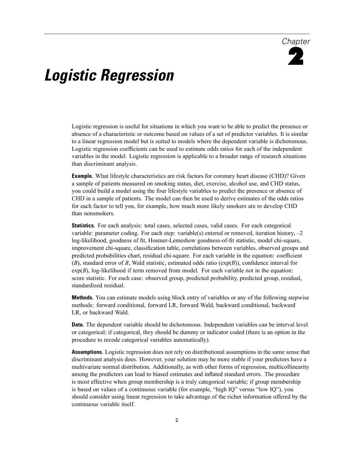## <span id="page-7-0"></span>*Logistic Regression*

Logistic regression is useful for situations in which you want to be able to predict the presence or absence of a characteristic or outcome based on values of a set of predictor variables. It is similar to a linear regression model but is suited to models where the dependent variable is dichotomous. Logistic regression coefficients can be used to estimate odds ratios for each of the independent variables in the model. Logistic regression is applicable to a broader range of research situations than discriminant analysis.

**Example.** What lifestyle characteristics are risk factors for coronary heart disease (CHD)? Given a sample of patients measured on smoking status, diet, exercise, alcohol use, and CHD status, you could build a model using the four lifestyle variables to predict the presence or absence of CHD in a sample of patients. The model can then be used to derive estimates of the odds ratios for each factor to tell you, for example, how much more likely smokers are to develop CHD than nonsmokers.

**Statistics.** For each analysis: total cases, selected cases, valid cases. For each categorical variable: parameter coding. For each step: variable(s) entered or removed, iteration history,  $-2$ log-likelihood, goodness of fit, Hosmer-Lemeshow goodness-of-fit statistic, model chi-square, improvement chi-square, classification table, correlations between variables, observed groups and predicted probabilities chart, residual chi-square. For each variable in the equation: coefficient  $(B)$ , standard error of *B*, Wald statistic, estimated odds ratio ( $exp(B)$ ), confidence interval for exp(*B*), log-likelihood if term removed from model. For each variable not in the equation: score statistic. For each case: observed group, predicted probability, predicted group, residual, standardized residual.

**Methods.** You can estimate models using block entry of variables or any of the following stepwise methods: forward conditional, forward LR, forward Wald, backward conditional, backward LR, or backward Wald.

**Data.** The dependent variable should be dichotomous. Independent variables can be interval level or categorical; if categorical, they should be dummy or indicator coded (there is an option in the procedure to recode categorical variables automatically).

**Assumptions.** Logistic regression does not rely on distributional assumptions in the same sense that discriminant analysis does. However, your solution may be more stable if your predictors have a multivariate normal distribution. Additionally, as with other forms of regression, multicollinearity among the predictors can lead to biased estimates and inflated standard errors. The procedure is most effective when group membership is a truly categorical variable; if group membership is based on values of a continuous variable (for example, "high IQ" versus "low IQ"), you should consider using linear regression to take advantage of the richer information offered by the continuous variable itself.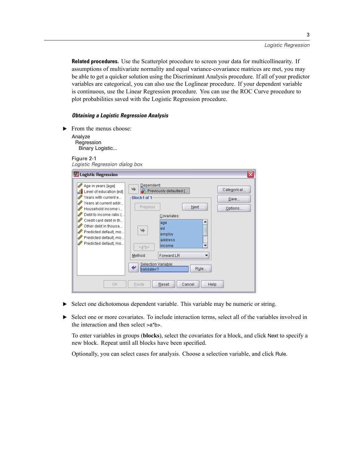**Related procedures.** Use the Scatterplot procedure to screen your data for multicollinearity. If assumptions of multivariate normality and equal variance-covariance matrices are met, you may be able to get a quicker solution using the Discriminant Analysis procedure. If all of your predictor variables are categorical, you can also use the Loglinear procedure. If your dependent variable is continuous, use the Linear Regression procedure. You can use the ROC Curve procedure to plot probabilities saved with the Logistic Regression procedure.

### *Obtaining a Logistic Regression Analysis*

 $\blacktriangleright$  From the menus choose:

Analyze Regression Binary Logistic...

| Figure 2-1                     |  |
|--------------------------------|--|
| Logistic Regression dialog box |  |

| <b>Ext</b> Logistic Regression                                                                                                                                                                                                                                              |                                                                                                                                                                                                    | x                              |
|-----------------------------------------------------------------------------------------------------------------------------------------------------------------------------------------------------------------------------------------------------------------------------|----------------------------------------------------------------------------------------------------------------------------------------------------------------------------------------------------|--------------------------------|
| Age in years [age]<br>Level of education [ed]<br>Years with current e<br>Years at current addr<br>Household income i<br>Debt to income ratio (<br>Credit card debt in th<br>Other debt in thousa<br>Predicted default, mo<br>Predicted default, mo<br>Predicted default, mo | Dependent:<br>Previously defaulted [<br><b>Block1 of 1</b><br>Previous<br>Next<br>Covariates:<br>▲<br>lage<br>led<br>ä<br>۳<br>employ<br>laddress<br>income<br>▼<br>>a*b><br>Forward:LR<br>Method: | Categorical<br>Save<br>Options |
|                                                                                                                                                                                                                                                                             | Selection Variable:<br>Rule<br>validate=?                                                                                                                                                          |                                |
| 0K                                                                                                                                                                                                                                                                          | Cancel<br>Paste<br>Reset<br>Help                                                                                                                                                                   |                                |

- Exercise Select one dichotomous dependent variable. This variable may be numeric or string.
- $\triangleright$  Select one or more covariates. To include interaction terms, select all of the variables involved in the interaction and then select >a\*b>.

To enter variables in groups (**blocks**), select the covariates for a block, and click Next to specify a new block. Repeat until all blocks have been specified.

Optionally, you can select cases for analysis. Choose a selection variable, and click Rule.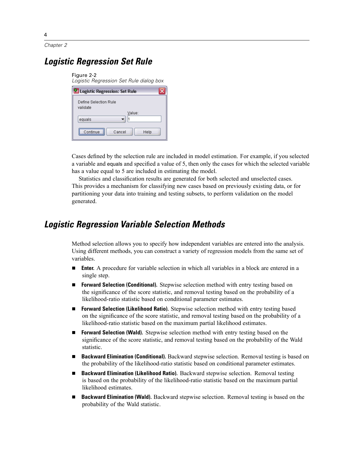## <span id="page-9-0"></span>*Logistic Regression Set Rule*

Figure 2-2 *Logistic Regression Set Rule dialog box*

| Logistic Regression: Set Rule     |  |
|-----------------------------------|--|
| Define Selection Rule<br>validate |  |
| Value:                            |  |
| equals                            |  |
| Continue<br>Cancel<br>Help        |  |

Cases defined by the selection rule are included in model estimation. For example, if you selected a variable and equals and specified a value of 5, then only the cases for which the selected variable has a value equal to 5 are included in estimating the model.

Statistics and classification results are generated for both selected and unselected cases. This provides a mechanism for classifying new cases based on previously existing data, or for partitioning your data into training and testing subsets, to perform validation on the model generated.

### *Logistic Regression Variable Selection Methods*

Method selection allows you to specify how independent variables are entered into the analysis. Using different methods, you can construct a variety of regression models from the same set of variables.

- **Enter.** A procedure for variable selection in which all variables in a block are entered in a single step.
- **Forward Selection (Conditional).** Stepwise selection method with entry testing based on the significance of the score statistic, and removal testing based on the probability of a likelihood-ratio statistic based on conditional parameter estimates.
- **Forward Selection (Likelihood Ratio).** Stepwise selection method with entry testing based on the significance of the score statistic, and removal testing based on the probability of a likelihood-ratio statistic based on the maximum partial likelihood estimates.
- **Forward Selection (Wald).** Stepwise selection method with entry testing based on the significance of the score statistic, and removal testing based on the probability of the Wald statistic.
- **Backward Elimination (Conditional).** Backward stepwise selection. Removal testing is based on the probability of the likelihood-ratio statistic based on conditional parameter estimates.
- Backward Elimination (Likelihood Ratio). Backward stepwise selection. Removal testing is based on the probability of the likelihood-ratio statistic based on the maximum partial likelihood estimates.
- **Backward Elimination (Wald).** Backward stepwise selection. Removal testing is based on the probability of the Wald statistic.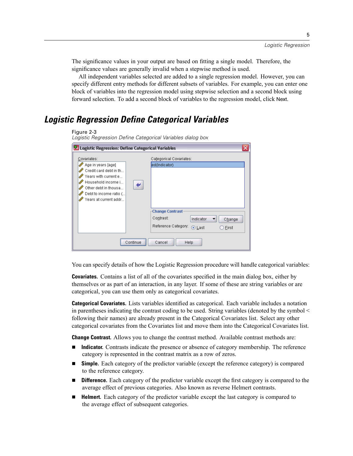<span id="page-10-0"></span>The significance values in your output are based on fitting a single model. Therefore, the significance values are generally invalid when a stepwise method is used.

All independent variables selected are added to a single regression model. However, you can specify different entry methods for different subsets of variables. For example, you can enter one block of variables into the regression model using stepwise selection and a second block using forward selection. To add a second block of variables to the regression model, click Next.

### *Logistic Regression Define Categorical Variables*

#### Figure 2-3

*Logistic Regression Define Categorical Variables dialog box*

| x<br>Logistic Regression: Define Categorical Variables                                                                                                                               |          |                                                                                                                                                        |  |  |
|--------------------------------------------------------------------------------------------------------------------------------------------------------------------------------------|----------|--------------------------------------------------------------------------------------------------------------------------------------------------------|--|--|
| Covariates:<br>Age in years [age]<br>Credit card debt in th<br>Years with current e<br>Household income i<br>Other debt in thousa<br>Debt to income ratio (<br>Years at current addr |          | Categorical Covariates:<br>ed(Indicator)<br><b>Change Contrast</b><br>Contrast:<br>Indicator<br>Change<br>Reference Category:<br>$\odot$ Last<br>First |  |  |
|                                                                                                                                                                                      | Continue | Cancel<br>Help                                                                                                                                         |  |  |

You can specify details of how the Logistic Regression procedure will handle categorical variables:

**Covariates.** Contains a list of all of the covariates specified in the main dialog box, either by themselves or as part of an interaction, in any layer. If some of these are string variables or are categorical, you can use them only as categorical covariates.

**Categorical Covariates.** Lists variables identified as categorical. Each variable includes a notation in parentheses indicating the contrast coding to be used. String variables (denoted by the symbol < following their names) are already present in the Categorical Covariates list. Select any other categorical covariates from the Covariates list and move them into the Categorical Covariates list.

**Change Contrast.** Allows you to change the contrast method. Available contrast methods are:

- **Indicator.** Contrasts indicate the presence or absence of category membership. The reference category is represented in the contrast matrix as a row of zeros.
- **Simple.** Each category of the predictor variable (except the reference category) is compared to the reference category.
- **Difference.** Each category of the predictor variable except the first category is compared to the average effect of previous categories. Also known as reverse Helmert contrasts.
- **Helmert.** Each category of the predictor variable except the last category is compared to the average effect of subsequent categories.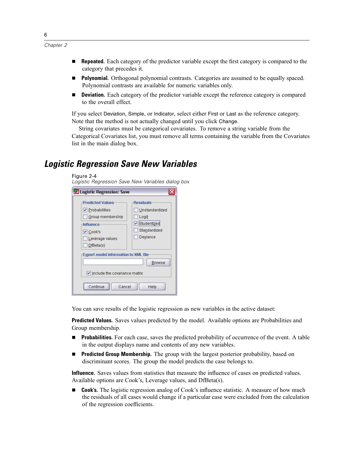- <span id="page-11-0"></span>**Repeated.** Each category of the predictor variable except the first category is compared to the category that precedes it.
- **Polynomial.** Orthogonal polynomial contrasts. Categories are assumed to be equally spaced. Polynomial contrasts are available for numeric variables only.
- **Deviation.** Each category of the predictor variable except the reference category is compared to the overall effect.

If you select Deviation, Simple, or Indicator, select either First or Last as the reference category. Note that the method is not actually changed until you click Change.

String covariates must be categorical covariates. To remove a string variable from the Categorical Covariates list, you must remove all terms containing the variable from the Covariates list in the main dialog box.

### *Logistic Regression Save New Variables*

#### Figure 2-4

*Logistic Regression Save New Variables dialog box*

| Logistic Regression: Save                                                                                                                    |                                                                                                 |  |  |
|----------------------------------------------------------------------------------------------------------------------------------------------|-------------------------------------------------------------------------------------------------|--|--|
| <b>Predicted Values</b><br>✔ Probabilities<br>Group membership<br><b>Influence</b><br>$\triangledown$ Cook's<br>Leverage values<br>DfBeta(s) | <b>Residuals</b><br>Unstandardized<br>Logit<br><b>▽</b> Studentized<br>Standardized<br>Deviance |  |  |
| <b>Export model information to XML file</b><br>Browse<br>$\blacktriangleright$ Include the covariance matrix<br>Continue<br>Cancel<br>Help   |                                                                                                 |  |  |

You can save results of the logistic regression as new variables in the active dataset:

**Predicted Values.** Saves values predicted by the model. Available options are Probabilities and Group membership.

- **Probabilities.** For each case, saves the predicted probability of occurrence of the event. A table in the output displays name and contents of any new variables.
- **Predicted Group Membership.** The group with the largest posterior probability, based on discriminant scores. The group the model predicts the case belongs to.

**Influence.** Saves values from statistics that measure the influence of cases on predicted values. Available options are Cook's, Leverage values, and DfBeta(s).

**Cook's.** The logistic regression analog of Cook's influence statistic. A measure of how much the residuals of all cases would change if a particular case were excluded from the calculation of the regression coefficients.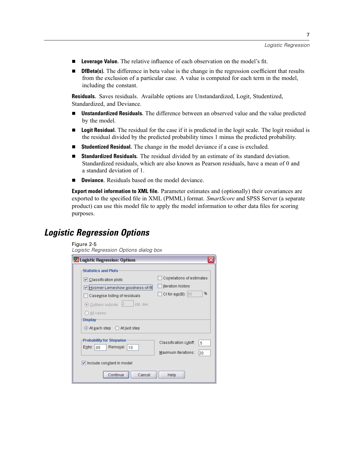7

- <span id="page-12-0"></span>**Leverage Value.** The relative influence of each observation on the model's fit.
- **Difference** in beta value is the change in the regression coefficient that results from the exclusion of a particular case. A value is computed for each term in the model, including the constant.

**Residuals.** Saves residuals. Available options are Unstandardized, Logit, Studentized, Standardized, and Deviance.

- **Unstandardized Residuals.** The difference between an observed value and the value predicted by the model.
- **Logit Residual.** The residual for the case if it is predicted in the logit scale. The logit residual is the residual divided by the predicted probability times 1 minus the predicted probability.
- **Studentized Residual.** The change in the model deviance if a case is excluded.
- **Standardized Residuals.** The residual divided by an estimate of its standard deviation. Standardized residuals, which are also known as Pearson residuals, have a mean of 0 and a standard deviation of 1.
- **Deviance.** Residuals based on the model deviance.

**Export model information to XML file.** Parameter estimates and (optionally) their covariances are exported to the specified file in XML (PMML) format. *SmartScore* and SPSS Server (a separate product) can use this model file to apply the model information to other data files for scoring purposes.

### *Logistic Regression Options*

Figure 2-5

| Logistic Regression Options dialog box                                                                                                                                              |                                                                             |
|-------------------------------------------------------------------------------------------------------------------------------------------------------------------------------------|-----------------------------------------------------------------------------|
| Logistic Regression: Options                                                                                                                                                        | x                                                                           |
| <b>Statistics and Plots</b><br>✔ Classification plots<br>Hosmer-Lemeshow goodness-of-fit<br>Casewise listing of residuals<br>12<br>⊙ Outliers outside<br>std. dev.<br>( ) All cases | Correlations of estimates<br>Iteration history<br>%<br>CI for $exp(B)$ : 95 |
| <b>Display</b><br>$\odot$ At each step $\odot$<br>At last step                                                                                                                      |                                                                             |
| <b>Probability for Stepwise</b><br>Removal: 10<br>Entry: $ 05 $                                                                                                                     | Classification cutoff:<br>.5<br>Maximum Iterations:<br>20                   |
| Include constant in model                                                                                                                                                           |                                                                             |
| Continue<br>Cancel                                                                                                                                                                  | Help                                                                        |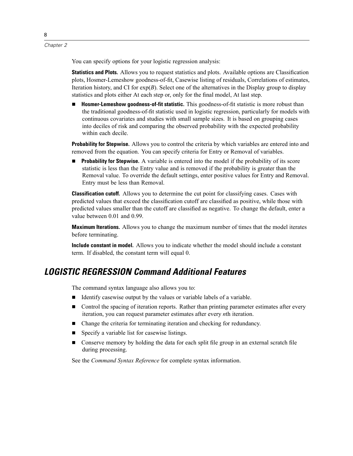<span id="page-13-0"></span>You can specify options for your logistic regression analysis:

**Statistics and Plots.** Allows you to request statistics and plots. Available options are Classification plots, Hosmer-Lemeshow goodness-of-fit, Casewise listing of residuals, Correlations of estimates, Iteration history, and CI for  $exp(B)$ . Select one of the alternatives in the Display group to display statistics and plots either At each step or, only for the final model, At last step.

 **Hosmer-Lemeshow goodness-of-fit statistic.** This goodness-of-fit statistic is more robust than the traditional goodness-of-fit statistic used in logistic regression, particularly for models with continuous covariates and studies with small sample sizes. It is based on grouping cases into deciles of risk and comparing the observed probability with the expected probability within each decile.

**Probability for Stepwise.** Allows you to control the criteria by which variables are entered into and removed from the equation. You can specify criteria for Entry or Removal of variables.

**Probability for Stepwise.** A variable is entered into the model if the probability of its score statistic is less than the Entry value and is removed if the probability is greater than the Removal value. To override the default settings, enter positive values for Entry and Removal. Entry must be less than Removal.

**Classification cutoff.** Allows you to determine the cut point for classifying cases. Cases with predicted values that exceed the classification cutoff are classified as positive, while those with predicted values smaller than the cutoff are classified as negative. To change the default, enter a value between 0.01 and 0.99.

**Maximum Iterations.** Allows you to change the maximum number of times that the model iterates before terminating.

**Include constant in model.** Allows you to indicate whether the model should include a constant term. If disabled, the constant term will equal 0.

## *LOGISTIC REGRESSION Command Additional Features*

The command syntax language also allows you to:

- Identify casewise output by the values or variable labels of a variable.
- **O** Control the spacing of iteration reports. Rather than printing parameter estimates after every iteration, you can request parameter estimates after every *n*th iteration.
- Change the criteria for terminating iteration and checking for redundancy.
- Specify a variable list for casewise listings.
- **EX** Conserve memory by holding the data for each split file group in an external scratch file during processing.

See the *Command Syntax Reference* for complete syntax information.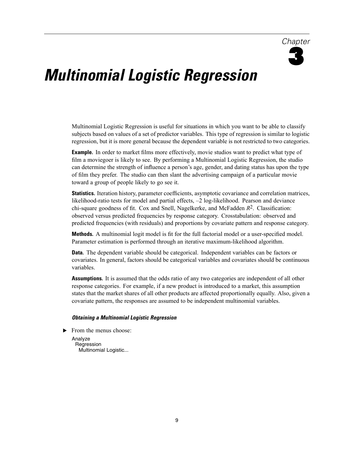# <span id="page-14-0"></span>*Multinomial Logistic Regression*

Multinomial Logistic Regression is useful for situations in which you want to be able to classify subjects based on values of a set of predictor variables. This type of regression is similar to logistic regression, but it is more general because the dependent variable is not restricted to two categories.

**Example.** In order to market films more effectively, movie studios want to predict what type of film a moviegoer is likely to see. By performing a Multinomial Logistic Regression, the studio can determine the strength of influence a person's age, gender, and dating status has upon the type of film they prefer. The studio can then slant the advertising campaign of a particular movie toward a group of people likely to go see it.

**Statistics.** Iteration history, parameter coefficients, asymptotic covariance and correlation matrices, likelihood-ratio tests for model and partial effects, –2 log-likelihood. Pearson and deviance chi-square goodness of fit. Cox and Snell, Nagelkerke, and McFadden *R*2. Classification: observed versus predicted frequencies by response category. Crosstabulation: observed and predicted frequencies (with residuals) and proportions by covariate pattern and response category.

**Methods.** A multinomial logit model is fit for the full factorial model or a user-specified model. Parameter estimation is performed through an iterative maximum-likelihood algorithm.

**Data.** The dependent variable should be categorical. Independent variables can be factors or covariates. In general, factors should be categorical variables and covariates should be continuous variables.

**Assumptions.** It is assumed that the odds ratio of any two categories are independent of all other response categories. For example, if a new product is introduced to a market, this assumption states that the market shares of all other products are affected proportionally equally. Also, given a covariate pattern, the responses are assumed to be independent multinomial variables.

### *Obtaining a Multinomial Logistic Regression*

 $\blacktriangleright$  From the menus choose: Analyze

Regression Multinomial Logistic...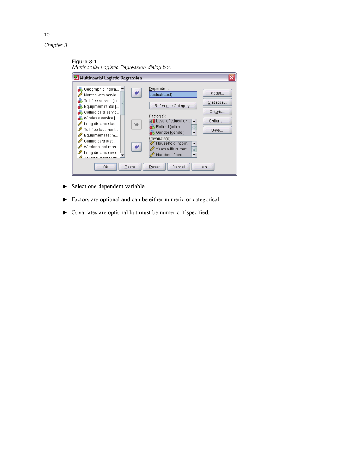#### Figure 3-1

*Multinomial Logistic Regression dialog box*

| Multinomial Logistic Regression                                                                                                                                                                                                                                                                                                                        |                                                                                                                                                                                                                                                                                                                      |
|--------------------------------------------------------------------------------------------------------------------------------------------------------------------------------------------------------------------------------------------------------------------------------------------------------------------------------------------------------|----------------------------------------------------------------------------------------------------------------------------------------------------------------------------------------------------------------------------------------------------------------------------------------------------------------------|
| Geographic indica<br>Months with servic<br>$\color{red}$ Toll free service [to $\color{red}$ $\color{red}$<br><b>B</b> Equipment rental [<br>Calling card servic<br><b>Mireless service [</b><br>Long distance last<br>Toll free last mont<br>Equipment last m<br>Calling card last<br>Wireless last mon<br>Long distance ove $\vdash$<br>Paste<br>0K. | Dependent:<br>Model<br>custcat(Last)<br>Statistics<br>Reference Category<br>Criteria<br>Factor(s):<br>Level of education<br>Options<br>$\blacktriangle$<br>Retired [retire]<br>38<br>Save<br>Gender [gender]<br>Covariate(s)<br>Household incom<br>Years with current<br>Number of people<br>Reset<br>Cancel<br>Help |

- **Exercise** Select one dependent variable.
- E Factors are optional and can be either numeric or categorical.
- $\triangleright$  Covariates are optional but must be numeric if specified.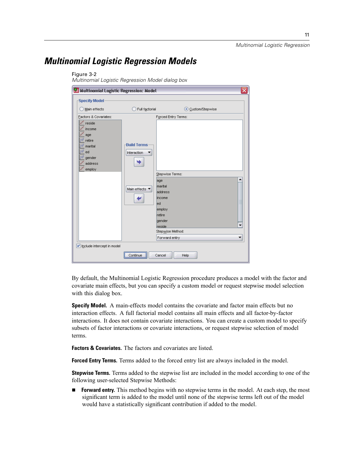## <span id="page-16-0"></span>*Multinomial Logistic Regression Models*

### Figure 3-2

*Multinomial Logistic Regression Model dialog box*

| Multinomial Logistic Regression: Model                                            |                                                     |                                                                                                                                     | ⊠ |
|-----------------------------------------------------------------------------------|-----------------------------------------------------|-------------------------------------------------------------------------------------------------------------------------------------|---|
| <b>Specify Model</b>                                                              |                                                     |                                                                                                                                     |   |
| Main effects                                                                      | Full factorial                                      | Custom/Stepwise                                                                                                                     |   |
| Factors & Covariates:                                                             |                                                     | Forced Entry Terms:                                                                                                                 |   |
| reside<br>income<br>age<br>retire<br>marital<br>ed<br>gender<br>address<br>employ | <b>Build Terms</b><br>Interaction<br>Main effects ▼ | Stepwise Terms:<br>▲<br>age<br>marital<br>address<br>income<br>ä<br>led<br>employ<br>retire<br>gender<br>reside<br>Stepwise Method: |   |
|                                                                                   |                                                     | Forward entry                                                                                                                       |   |
| Include intercept in model<br>Continue<br>Cancel<br>Help                          |                                                     |                                                                                                                                     |   |

By default, the Multinomial Logistic Regression procedure produces a model with the factor and covariate main effects, but you can specify a custom model or request stepwise model selection with this dialog box.

**Specify Model.** A main-effects model contains the covariate and factor main effects but no interaction effects. A full factorial model contains all main effects and all factor-by-factor interactions. It does not contain covariate interactions. You can create a custom model to specify subsets of factor interactions or covariate interactions, or request stepwise selection of model terms.

**Factors & Covariates.** The factors and covariates are listed.

**Forced Entry Terms.** Terms added to the forced entry list are always included in the model.

**Stepwise Terms.** Terms added to the stepwise list are included in the model according to one of the following user-selected Stepwise Methods:

**Forward entry.** This method begins with no stepwise terms in the model. At each step, the most significant term is added to the model until none of the stepwise terms left out of the model would have a statistically significant contribution if added to the model.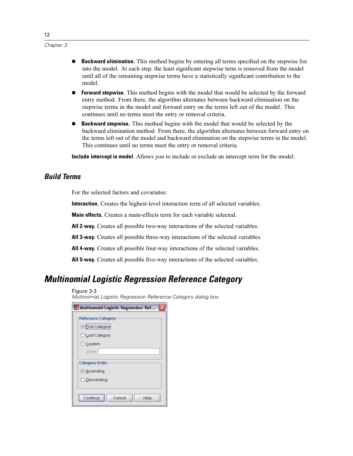- <span id="page-17-0"></span>**Backward elimination.** This method begins by entering all terms specified on the stepwise list into the model. At each step, the least significant stepwise term is removed from the model until all of the remaining stepwise terms have a statistically significant contribution to the model.
- **Forward stepwise.** This method begins with the model that would be selected by the forward entry method. From there, the algorithm alternates between backward elimination on the stepwise terms in the model and forward entry on the terms left out of the model. This continues until no terms meet the entry or removal criteria.
- **Backward stepwise.** This method begins with the model that would be selected by the backward elimination method. From there, the algorithm alternates between forward entry on the terms left out of the model and backward elimination on the stepwise terms in the model. This continues until no terms meet the entry or removal criteria.

**Include intercept in model.** Allows you to include or exclude an intercept term for the model.

### *Build Terms*

For the selected factors and covariates:

**Interaction.** Creates the highest-level interaction term of all selected variables.

**Main effects.** Creates a main-effects term for each variable selected.

**All 2-way.** Creates all possible two-way interactions of the selected variables.

**All 3-way.** Creates all possible three-way interactions of the selected variables.

**All 4-way.** Creates all possible four-way interactions of the selected variables.

**All 5-way.** Creates all possible five-way interactions of the selected variables.

### *Multinomial Logistic Regression Reference Category*

*Multinomial Logistic Regression Reference Category dialog box*

| Multinomial Logistic Regression: Ref |
|--------------------------------------|
| <b>Reference Category</b>            |
| Eirst Category                       |
| ◯ Last Category                      |
| ◯ Custom                             |
| Value                                |
| <b>Category Order</b>                |
| Ascending                            |
| Descending                           |
|                                      |
| Continue<br>Cancel<br>Help           |

Figure 3-3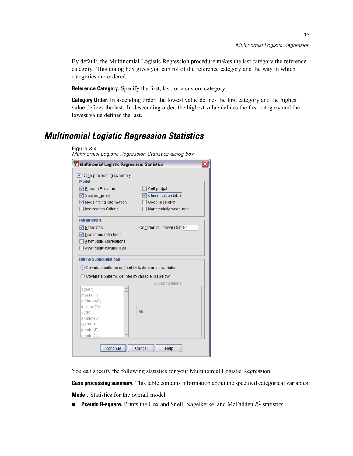<span id="page-18-0"></span>By default, the Multinomial Logistic Regression procedure makes the last category the reference category. This dialog box gives you control of the reference category and the way in which categories are ordered.

**Reference Category.** Specify the first, last, or a custom category.

**Category Order.** In ascending order, the lowest value defines the first category and the highest value defines the last. In descending order, the highest value defines the first category and the lowest value defines the last.

### *Multinomial Logistic Regression Statistics*

Figure 3-4

| Multinomial Logistic Regression: Statistics            |                             |
|--------------------------------------------------------|-----------------------------|
| $\vee$ Case processing summary                         |                             |
| <b>Model</b>                                           |                             |
| Pseudo R-square                                        | Cell probablities           |
| $\vee$ Step summary                                    | Classification table<br>ᢦ   |
| Model fitting information                              | Goodness-of-fit             |
| Information Criteria                                   | Monotonicity measures       |
| <b>Parameters</b>                                      |                             |
| $\triangledown$ Estimates                              | Confidence Interval (%): 95 |
| Likelihood ratio tests                                 |                             |
| Asymptotic correlations                                |                             |
| Asymptotic covariances                                 |                             |
|                                                        |                             |
|                                                        |                             |
| <b>Define Subpopulations</b>                           |                             |
| ◉ Covariate patterns defined by factors and covariates |                             |
| Covariate patterns defined by variable list below      |                             |
|                                                        | Subpopulations:             |
| 스<br>age(C)                                            |                             |
| marital(F)                                             |                             |
| address(C)                                             |                             |
| income(C)                                              |                             |
| ed(F)                                                  |                             |
| employ(C)                                              |                             |
| retire(F)                                              |                             |
| gender(F)<br>reside(C)                                 |                             |

You can specify the following statistics for your Multinomial Logistic Regression:

**Case processing summary.** This table contains information about the specified categorical variables.

**Model.** Statistics for the overall model.

■ **Pseudo R-square.** Prints the Cox and Snell, Nagelkerke, and McFadden  $R^2$  statistics.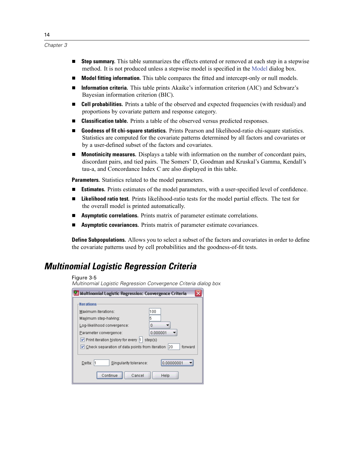- <span id="page-19-0"></span>**Step summary.** This table summarizes the effects entered or removed at each step in a stepwise method. It is not produced unless a stepwise model is specified in the [Model](#page-16-0) dialog box.
- **Model fitting information.** This table compares the fitted and intercept-only or null models.
- **Information criteria.** This table prints Akaike's information criterion (AIC) and Schwarz's Bayesian information criterion (BIC).
- **Cell probabilities.** Prints a table of the observed and expected frequencies (with residual) and proportions by covariate pattern and response category.
- **Classification table.** Prints a table of the observed versus predicted responses.
- **Goodness of fit chi-square statistics.** Prints Pearson and likelihood-ratio chi-square statistics. Statistics are computed for the covariate patterns determined by all factors and covariates or by a user-defined subset of the factors and covariates.
- **Monotinicity measures.** Displays a table with information on the number of concordant pairs, discordant pairs, and tied pairs. The Somers' D, Goodman and Kruskal's Gamma, Kendall's tau-a, and Concordance Index C are also displayed in this table.

**Parameters.** Statistics related to the model parameters.

- **Estimates.** Prints estimates of the model parameters, with a user-specified level of confidence.
- **Likelihood ratio test.** Prints likelihood-ratio tests for the model partial effects. The test for the overall model is printed automatically.
- **Asymptotic correlations.** Prints matrix of parameter estimate correlations.
- **Asymptotic covariances.** Prints matrix of parameter estimate covariances.

**Define Subpopulations.** Allows you to select a subset of the factors and covariates in order to define the covariate patterns used by cell probabilities and the goodness-of-fit tests.

### *Multinomial Logistic Regression Criteria*

#### Figure 3-5

| Multinomial Logistic Regression Convergence Criteria dialog box                                                                                                                                                                                                                               |  |
|-----------------------------------------------------------------------------------------------------------------------------------------------------------------------------------------------------------------------------------------------------------------------------------------------|--|
| Multinomial Logistic Regression: Convergence Criteria                                                                                                                                                                                                                                         |  |
| <b>Iterations</b><br>100<br>Maximum iterations:<br>Maximum step-halving:<br>5<br>Log-likelihood convergence:<br>n<br>0.000001<br>Parameter convergence:<br>$\triangledown$ Print iteration history for every 1<br>step(s)<br>Check separation of data points from iteration<br>120<br>forward |  |
| 0.00000001<br>Delta: 1<br>Singularity tolerance:<br>Continue<br>Cancel<br>Help                                                                                                                                                                                                                |  |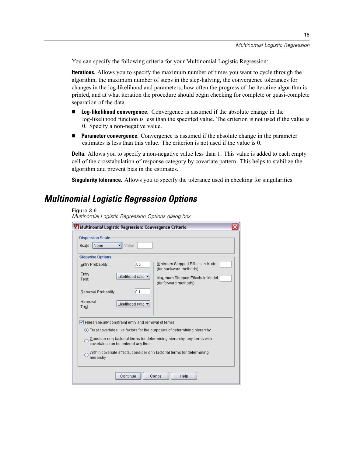<span id="page-20-0"></span>You can specify the following criteria for your Multinomial Logistic Regression:

**Iterations.** Allows you to specify the maximum number of times you want to cycle through the algorithm, the maximum number of steps in the step-halving, the convergence tolerances for changes in the log-likelihood and parameters, how often the progress of the iterative algorithm is printed, and at what iteration the procedure should begin checking for complete or quasi-complete separation of the data.

- **Log-likelihood convergence.** Convergence is assumed if the absolute change in the log-likelihood function is less than the specified value. The criterion is not used if the value is 0. Specify a non-negative value.
- **Parameter convergence.** Convergence is assumed if the absolute change in the parameter estimates is less than this value. The criterion is not used if the value is 0.

**Delta.** Allows you to specify a non-negative value less than 1. This value is added to each empty cell of the crosstabulation of response category by covariate pattern. This helps to stabilize the algorithm and prevent bias in the estimates.

**Singularity tolerance.** Allows you to specify the tolerance used in checking for singularities.

## *Multinomial Logistic Regression Options*

#### Figure 3-6

*Multinomial Logistic Regression Options dialog box*

| Multinomial Logistic Regression: Convergence Criteria                                                                                                                                                                                                                                                                                                            |                                                                               |  |  |
|------------------------------------------------------------------------------------------------------------------------------------------------------------------------------------------------------------------------------------------------------------------------------------------------------------------------------------------------------------------|-------------------------------------------------------------------------------|--|--|
| <b>Dispersion Scale</b><br>Scale: None<br>Value:                                                                                                                                                                                                                                                                                                                 |                                                                               |  |  |
| <b>Stepwise Options</b>                                                                                                                                                                                                                                                                                                                                          |                                                                               |  |  |
| Entry Probablity:                                                                                                                                                                                                                                                                                                                                                | Minimum Stepped Effects in Model<br>.05<br>(for backward methods)             |  |  |
| Entry<br><b>Test:</b>                                                                                                                                                                                                                                                                                                                                            | Likelihood ratio<br>Maximum Stepped Effects in Model<br>(for forward methods) |  |  |
| Removal Probablity                                                                                                                                                                                                                                                                                                                                               | 0.1                                                                           |  |  |
| Removal<br>Likelihood ratio<br>Test:                                                                                                                                                                                                                                                                                                                             |                                                                               |  |  |
| $\blacktriangleright$ Hierarchically constraint entry and removal of terms<br>⊙ Treat covariates like factors for the purposes of determining hierarchy<br>Consider only factorial terms for determining hierarchy; any terms with<br>covariates can be entered any time<br>Within covariate effects, consider only factorial terms for determining<br>hierarchy |                                                                               |  |  |
| Continue<br>Cancel<br>Help                                                                                                                                                                                                                                                                                                                                       |                                                                               |  |  |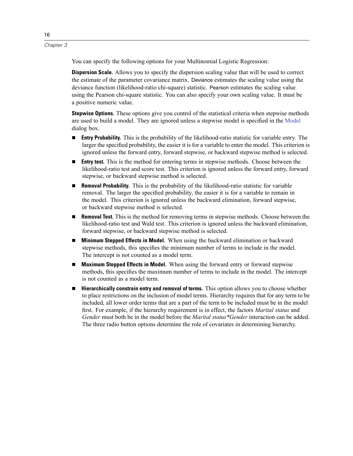You can specify the following options for your Multinomial Logistic Regression:

**Dispersion Scale.** Allows you to specify the dispersion scaling value that will be used to correct the estimate of the parameter covariance matrix. Deviance estimates the scaling value using the deviance function (likelihood-ratio chi-square) statistic. Pearson estimates the scaling value using the Pearson chi-square statistic. You can also specify your own scaling value. It must be a positive numeric value.

**Stepwise Options.** These options give you control of the statistical criteria when stepwise methods are used to build a model. They are ignored unless a stepwise model is specified in the [Model](#page-16-0) dialog box.

- **Entry Probability.** This is the probability of the likelihood-ratio statistic for variable entry. The larger the specified probability, the easier it is for a variable to enter the model. This criterion is ignored unless the forward entry, forward stepwise, or backward stepwise method is selected.
- **Entry test.** This is the method for entering terms in stepwise methods. Choose between the likelihood-ratio test and score test. This criterion is ignored unless the forward entry, forward stepwise, or backward stepwise method is selected.
- **Removal Probability.** This is the probability of the likelihood-ratio statistic for variable removal. The larger the specified probability, the easier it is for a variable to remain in the model. This criterion is ignored unless the backward elimination, forward stepwise, or backward stepwise method is selected.
- **Removal Test.** This is the method for removing terms in stepwise methods. Choose between the likelihood-ratio test and Wald test. This criterion is ignored unless the backward elimination, forward stepwise, or backward stepwise method is selected.
- **Minimum Stepped Effects in Model.** When using the backward elimination or backward stepwise methods, this specifies the minimum number of terms to include in the model. The intercept is not counted as a model term.
- **Maximum Stepped Effects in Model.** When using the forward entry or forward stepwise methods, this specifies the maximum number of terms to include in the model. The intercept is not counted as a model term.
- **Hierarchically constrain entry and removal of terms.** This option allows you to choose whether to place restrictions on the inclusion of model terms. Hierarchy requires that for any term to be included, all lower order terms that are a part of the term to be included must be in the model first. For example, if the hierarchy requirement is in effect, the factors *Marital status* and *Gender* must both be in the model before the *Marital status\*Gender* interaction can be added. The three radio button options determine the role of covariates in determining hierarchy.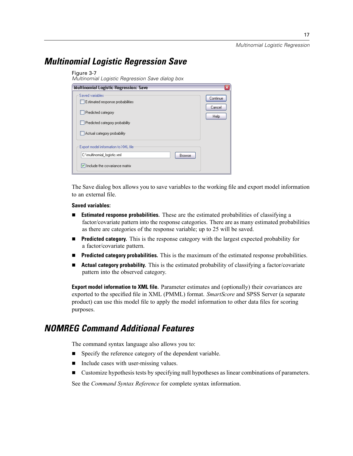### <span id="page-22-0"></span>*Multinomial Logistic Regression Save*

### Figure 3-7

*Multinomial Logistic Regression Save dialog box*

| ×                  |
|--------------------|
| Continue<br>Cancel |
| Help               |
|                    |
|                    |
|                    |
|                    |
|                    |
|                    |

The Save dialog box allows you to save variables to the working file and export model information to an external file.

### **Saved variables:**

- **Estimated response probabilities.** These are the estimated probabilities of classifying a factor/covariate pattern into the response categories. There are as many estimated probabilities as there are categories of the response variable; up to 25 will be saved.
- **Predicted category.** This is the response category with the largest expected probability for a factor/covariate pattern.
- **Predicted category probabilities.** This is the maximum of the estimated response probabilities.
- **Actual category probability.** This is the estimated probability of classifying a factor/covariate pattern into the observed category.

**Export model information to XML file.** Parameter estimates and (optionally) their covariances are exported to the specified file in XML (PMML) format. *SmartScore* and SPSS Server (a separate product) can use this model file to apply the model information to other data files for scoring purposes.

### *NOMREG Command Additional Features*

The command syntax language also allows you to:

- **Specify the reference category of the dependent variable.**
- $\blacksquare$  Include cases with user-missing values.
- Customize hypothesis tests by specifying null hypotheses as linear combinations of parameters.

See the *Command Syntax Reference* for complete syntax information.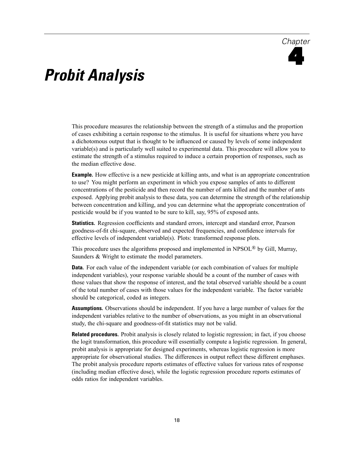## <span id="page-23-0"></span>*Probit Analysis*

This procedure measures the relationship between the strength of a stimulus and the proportion of cases exhibiting a certain response to the stimulus. It is useful for situations where you have a dichotomous output that is thought to be influenced or caused by levels of some independent variable(s) and is particularly well suited to experimental data. This procedure will allow you to estimate the strength of a stimulus required to induce a certain proportion of responses, such as the median effective dose.

**Example.** How effective is a new pesticide at killing ants, and what is an appropriate concentration to use? You might perform an experiment in which you expose samples of ants to different concentrations of the pesticide and then record the number of ants killed and the number of ants exposed. Applying probit analysis to these data, you can determine the strength of the relationship between concentration and killing, and you can determine what the appropriate concentration of pesticide would be if you wanted to be sure to kill, say, 95% of exposed ants.

**Statistics.** Regression coefficients and standard errors, intercept and standard error, Pearson goodness-of-fit chi-square, observed and expected frequencies, and confidence intervals for effective levels of independent variable(s). Plots: transformed response plots.

This procedure uses the algorithms proposed and implemented in  $NPSOL^{\circledR}$  by Gill, Murray, Saunders & Wright to estimate the model parameters.

**Data.** For each value of the independent variable (or each combination of values for multiple independent variables), your response variable should be a count of the number of cases with those values that show the response of interest, and the total observed variable should be a count of the total number of cases with those values for the independent variable. The factor variable should be categorical, coded as integers.

**Assumptions.** Observations should be independent. If you have a large number of values for the independent variables relative to the number of observations, as you might in an observational study, the chi-square and goodness-of-fit statistics may not be valid.

**Related procedures.** Probit analysis is closely related to logistic regression; in fact, if you choose the logit transformation, this procedure will essentially compute a logistic regression. In general, probit analysis is appropriate for designed experiments, whereas logistic regression is more appropriate for observational studies. The differences in output reflect these different emphases. The probit analysis procedure reports estimates of effective values for various rates of response (including median effective dose), while the logistic regression procedure reports estimates of odds ratios for independent variables.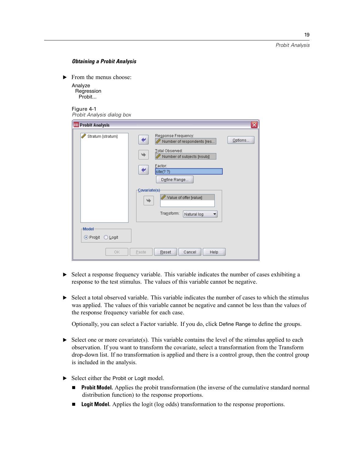*Probit Analysis*

### *Obtaining a Probit Analysis*

 $\blacktriangleright$  From the menus choose:

Analyze **Regression** Probit...

Figure 4-1 *Probit Analysis dialog box*

| <b>Probit Analysis</b>      | ⊠                                                                                                                                                                                                                                     |
|-----------------------------|---------------------------------------------------------------------------------------------------------------------------------------------------------------------------------------------------------------------------------------|
| Stratum [stratum]           | Response Frequency:<br>Options<br>Number of respondents [res<br>Total Observed:<br>٠<br>Number of subjects [nsubj]<br>Factor:<br>site(??)<br>Define Range<br>Covariate(s)<br>Value of offer [value]<br>٠<br>Transform:<br>Natural log |
| -Model<br>⊙ Probit<br>Logit |                                                                                                                                                                                                                                       |
| 0K                          | Cancel<br>Paste<br>Reset<br>Help                                                                                                                                                                                                      |

- $\triangleright$  Select a response frequency variable. This variable indicates the number of cases exhibiting a response to the test stimulus. The values of this variable cannot be negative.
- $\triangleright$  Select a total observed variable. This variable indicates the number of cases to which the stimulus was applied. The values of this variable cannot be negative and cannot be less than the values of the response frequency variable for each case.

Optionally, you can select a Factor variable. If you do, click Define Range to define the groups.

- $\triangleright$  Select one or more covariate(s). This variable contains the level of the stimulus applied to each observation. If you want to transform the covariate, select a transformation from the Transform drop-down list. If no transformation is applied and there is a control group, then the control group is included in the analysis.
- Exercit Select either the Probit or Logit model.
	- **Probit Model.** Applies the probit transformation (the inverse of the cumulative standard normal distribution function) to the response proportions.
	- **Logit Model.** Applies the logit (log odds) transformation to the response proportions.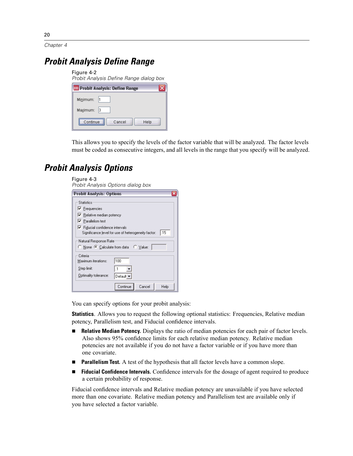## <span id="page-25-0"></span>*Probit Analysis Define Range*

| <b>Probit Analysis: Define Range</b> |                |
|--------------------------------------|----------------|
| Minimum:<br>1                        |                |
| 3<br>Maximum:                        |                |
| Continue                             | Cancel<br>Help |

This allows you to specify the levels of the factor variable that will be analyzed. The factor levels must be coded as consecutive integers, and all levels in the range that you specify will be analyzed.

## *Probit Analysis Options*

Figure 4-3 *Probit Analysis Options dialog box*

| <b>Probit Analysis: Options</b><br>×                                                                          |  |  |  |
|---------------------------------------------------------------------------------------------------------------|--|--|--|
| <b>Statistics</b>                                                                                             |  |  |  |
| $\nabla$ Frequencies                                                                                          |  |  |  |
| $\triangledown$ Relative median potency                                                                       |  |  |  |
| $\nabla$ Parallelism test                                                                                     |  |  |  |
| $\triangleright$ Fiducial confidence intervals<br>l.15<br>Significance level for use of heterogeneity factor: |  |  |  |
| Natural Response Rate                                                                                         |  |  |  |
| ○ None • Calculate from data • ○ Value:                                                                       |  |  |  |
| Criteria                                                                                                      |  |  |  |
| 100<br>Maximum iterations:                                                                                    |  |  |  |
| Step limit:<br>$\cdot$ 1                                                                                      |  |  |  |
| Optimality tolerance:<br>$Defaul \blacktriangleright$                                                         |  |  |  |
| Continue<br>Cancel<br>Help                                                                                    |  |  |  |

You can specify options for your probit analysis:

**Statistics**. Allows you to request the following optional statistics: Frequencies, Relative median potency, Parallelism test, and Fiducial confidence intervals.

- **Relative Median Potency.** Displays the ratio of median potencies for each pair of factor levels. Also shows 95% confidence limits for each relative median potency. Relative median potencies are not available if you do not have a factor variable or if you have more than one covariate.
- **Parallelism Test.** A test of the hypothesis that all factor levels have a common slope.
- **Fiducial Confidence Intervals.** Confidence intervals for the dosage of agent required to produce a certain probability of response.

Fiducial confidence intervals and Relative median potency are unavailable if you have selected more than one covariate. Relative median potency and Parallelism test are available only if you have selected a factor variable.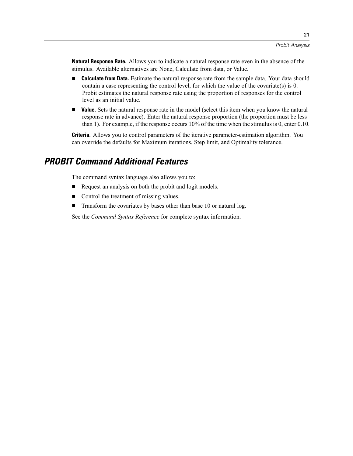<span id="page-26-0"></span>**Natural Response Rate.** Allows you to indicate a natural response rate even in the absence of the stimulus. Available alternatives are None, Calculate from data, or Value.

- **Calculate from Data.** Estimate the natural response rate from the sample data. Your data should contain a case representing the control level, for which the value of the covariate(s) is 0. Probit estimates the natural response rate using the proportion of responses for the control level as an initial value.
- **Value.** Sets the natural response rate in the model (select this item when you know the natural response rate in advance). Enter the natural response proportion (the proportion must be less than 1). For example, if the response occurs 10% of the time when the stimulus is 0, enter 0.10.

**Criteria.** Allows you to control parameters of the iterative parameter-estimation algorithm. You can override the defaults for Maximum iterations, Step limit, and Optimality tolerance.

### *PROBIT Command Additional Features*

The command syntax language also allows you to:

- Request an analysis on both the probit and logit models.
- Control the treatment of missing values.
- Transform the covariates by bases other than base 10 or natural log.

See the *Command Syntax Reference* for complete syntax information.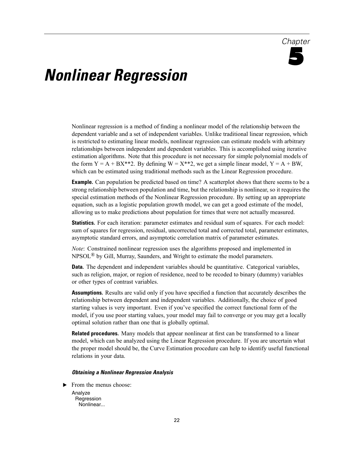## <span id="page-27-0"></span>*Nonlinear Regression*

Nonlinear regression is a method of finding a nonlinear model of the relationship between the dependent variable and a set of independent variables. Unlike traditional linear regression, which is restricted to estimating linear models, nonlinear regression can estimate models with arbitrary relationships between independent and dependent variables. This is accomplished using iterative estimation algorithms. Note that this procedure is not necessary for simple polynomial models of the form  $Y = A + BX^{*2}$ . By defining  $W = X^{*2}$ , we get a simple linear model,  $Y = A + BW$ , which can be estimated using traditional methods such as the Linear Regression procedure.

**Example.** Can population be predicted based on time? A scatterplot shows that there seems to be a strong relationship between population and time, but the relationship is nonlinear, so it requires the special estimation methods of the Nonlinear Regression procedure. By setting up an appropriate equation, such as a logistic population growth model, we can get a good estimate of the model, allowing us to make predictions about population for times that were not actually measured.

**Statistics.** For each iteration: parameter estimates and residual sum of squares. For each model: sum of squares for regression, residual, uncorrected total and corrected total, parameter estimates, asymptotic standard errors, and asymptotic correlation matrix of parameter estimates.

*Note*: Constrained nonlinear regression uses the algorithms proposed and implemented in  $NPSOL<sup>®</sup>$  by Gill, Murray, Saunders, and Wright to estimate the model parameters.

**Data.** The dependent and independent variables should be quantitative. Categorical variables, such as religion, major, or region of residence, need to be recoded to binary (dummy) variables or other types of contrast variables.

**Assumptions.** Results are valid only if you have specified a function that accurately describes the relationship between dependent and independent variables. Additionally, the choice of good starting values is very important. Even if you've specified the correct functional form of the model, if you use poor starting values, your model may fail to converge or you may get a locally optimal solution rather than one that is globally optimal.

**Related procedures.** Many models that appear nonlinear at first can be transformed to a linear model, which can be analyzed using the Linear Regression procedure. If you are uncertain what the proper model should be, the Curve Estimation procedure can help to identify useful functional relations in your data.

### *Obtaining a Nonlinear Regression Analysis*

- $\blacktriangleright$  From the menus choose:
	- Analyze Regression Nonlinear...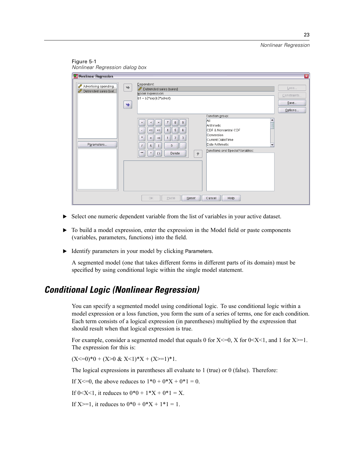*Nonlinear Regression*

<span id="page-28-0"></span>

| Nonlinear Regression                                          |                                                                                                                                                                                                                                                                                                                                                                                                                                                  | $\blacksquare$              |
|---------------------------------------------------------------|--------------------------------------------------------------------------------------------------------------------------------------------------------------------------------------------------------------------------------------------------------------------------------------------------------------------------------------------------------------------------------------------------------------------------------------------------|-----------------------------|
| 10<br>Advertising spending<br>₩.<br>Detrended sales [sal<br>٠ | Dependent:<br>Detrended sales [sales]<br>Model Expression:<br>$b1 + b2*exp(b3*advert)$                                                                                                                                                                                                                                                                                                                                                           | Loss<br>Constraints<br>Save |
| Parameters                                                    | Function group:<br>laii.<br>$\overline{7}$<br>$\, 8$<br>$\overline{9}$<br>$+$<br>$\leq$<br>$\geq$<br>Arithmetic<br>$\sqrt{5}$<br>6<br>CDF & Noncentral CDF<br>$\overline{4}$<br>$\ll=$<br>$>\equiv$<br>$\overline{\phantom{a}}$<br>Conversion<br>$^\star$<br>$\overline{2}$<br>3<br>$=$<br>$\sim =$<br>Current Date/Time<br>Date Arithmetic<br>▼<br>&<br>0<br>Eunctions and Special Variables:<br>$\star\star$<br>Delete<br>$\Lambda$<br>()<br>小 | Options                     |
|                                                               | 0K<br>Reset<br>Cancel<br>Help<br>Paste                                                                                                                                                                                                                                                                                                                                                                                                           |                             |

- E Select one numeric dependent variable from the list of variables in your active dataset.
- $\triangleright$  To build a model expression, enter the expression in the Model field or paste components (variables, parameters, functions) into the field.
- E Identify parameters in your model by clicking Parameters.

A segmented model (one that takes different forms in different parts of its domain) must be specified by using conditional logic within the single model statement.

### *Conditional Logic (Nonlinear Regression)*

You can specify a segmented model using conditional logic. To use conditional logic within a model expression or a loss function, you form the sum of a series of terms, one for each condition. Each term consists of a logical expression (in parentheses) multiplied by the expression that should result when that logical expression is true.

For example, consider a segmented model that equals 0 for  $X \le 0$ , X for  $0 \le X \le 1$ , and 1 for  $X \ge 1$ . The expression for this is:

 $(X\leq 0)^*0 + (X>0 \& X\leq 1)^*X + (X>1)^*1$ .

The logical expressions in parentheses all evaluate to 1 (true) or 0 (false). Therefore:

If X <= 0, the above reduces to  $1*0 + 0*X + 0*1 = 0$ .

If  $0 < X < 1$ , it reduces to  $0 * 0 + 1 * X + 0 * 1 = X$ .

If X>=1, it reduces to  $0*0 + 0*X + 1*1 = 1$ .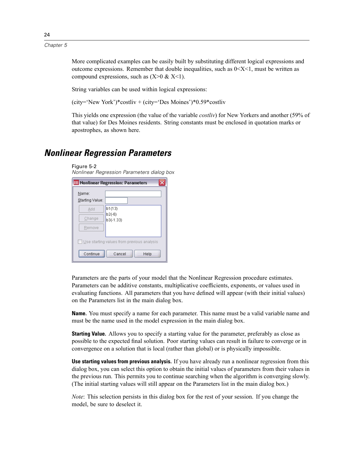<span id="page-29-0"></span>More complicated examples can be easily built by substituting different logical expressions and outcome expressions. Remember that double inequalities, such as  $0 < X < 1$ , must be written as compound expressions, such as  $(X>0 \& X<1)$ .

String variables can be used within logical expressions:

 $(city='New York')*costliv + (city='Des Moines')*0.59*costliv$ 

This yields one expression (the value of the variable *costliv*) for New Yorkers and another (59% of that value) for Des Moines residents. String constants must be enclosed in quotation marks or apostrophes, as shown here.

### *Nonlinear Regression Parameters*

Figure 5-2

|                                  | Nonlinear Regression Parameters dialog box                   |  |  |  |  |
|----------------------------------|--------------------------------------------------------------|--|--|--|--|
| Nonlinear Regression: Parameters |                                                              |  |  |  |  |
| Name:<br>Starting Value:         |                                                              |  |  |  |  |
| Add<br>Change<br>Remove          | b1(13)<br>$b2(-6)$<br>b3(-1.33)                              |  |  |  |  |
| Continue                         | Use starting values from previous analysis<br>Cancel<br>Help |  |  |  |  |

Parameters are the parts of your model that the Nonlinear Regression procedure estimates. Parameters can be additive constants, multiplicative coefficients, exponents, or values used in evaluating functions. All parameters that you have defined will appear (with their initial values) on the Parameters list in the main dialog box.

**Name.** You must specify a name for each parameter. This name must be a valid variable name and must be the name used in the model expression in the main dialog box.

**Starting Value.** Allows you to specify a starting value for the parameter, preferably as close as possible to the expected final solution. Poor starting values can result in failure to converge or in convergence on a solution that is local (rather than global) or is physically impossible.

**Use starting values from previous analysis.** If you have already run a nonlinear regression from this dialog box, you can select this option to obtain the initial values of parameters from their values in the previous run. This permits you to continue searching when the algorithm is converging slowly. (The initial starting values will still appear on the Parameters list in the main dialog box.)

*Note*: This selection persists in this dialog box for the rest of your session. If you change the model, be sure to deselect it.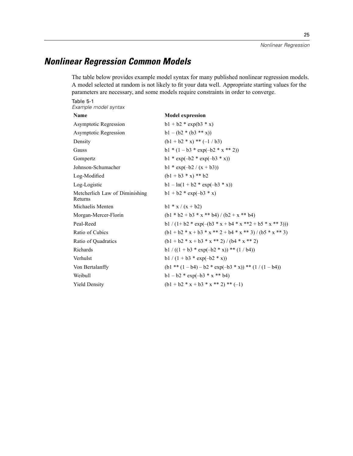## <span id="page-30-0"></span>*Nonlinear Regression Common Models*

The table below provides example model syntax for many published nonlinear regression models. A model selected at random is not likely to fit your data well. Appropriate starting values for the parameters are necessary, and some models require constraints in order to converge.

Table 5-1 *Example model syntax*

| <b>Model expression</b>                                     |
|-------------------------------------------------------------|
| $b1 + b2 * exp(b3 * x)$                                     |
| $b1 - (b2 * (b3 ** x))$                                     |
| $(b1 + b2 * x) ** (-1 / b3)$                                |
| $b1 * (1 - b3 * exp(-b2 * x ** 2))$                         |
| $b1 * exp(-b2 * exp(-b3 * x))$                              |
| $b1 * exp(-b2 / (x + b3))$                                  |
| $(b1 + b3 * x) ** b2$                                       |
| $b1 - ln(1 + b2 * exp(-b3 * x))$                            |
| $b1 + b2 * exp(-b3 * x)$                                    |
| $b1 * x / (x + b2)$                                         |
| $(b1 * b2 + b3 * x ** b4) / (b2 + x ** b4)$                 |
| b1 / $(1+b2 * exp(-(b3 * x + b4 * x **2 + b5 * x ** 3)))$   |
| $(b1 + b2 * x + b3 * x ** 2 + b4 * x ** 3) / (b5 * x ** 3)$ |
| $(b1 + b2 * x + b3 * x ** 2) / (b4 * x ** 2)$               |
| b1 / $((1 + b3 * exp(-b2 * x))**(1 / b4))$                  |
| $b1/(1 + b3 * exp(-b2 * x))$                                |
| $(b1 ** (1 - b4) – b2 * exp(-b3 * x))**(1 / (1 - b4))$      |
| $b1 - b2 * exp(-b3 * x ** b4)$                              |
| $(b1 + b2 * x + b3 * x ** 2) ** (-1)$                       |
|                                                             |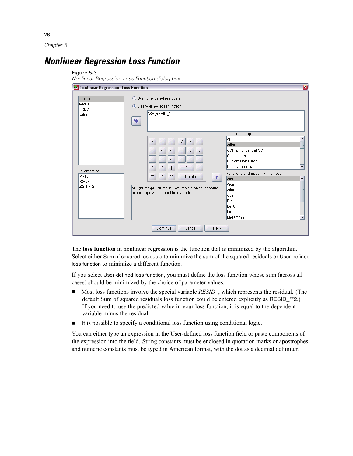### <span id="page-31-0"></span>*Nonlinear Regression Loss Function*

Figure 5-3

| Nonlinear Regression Loss Function dialog box  |                                                                                                                                                                                                                                                                                                                                |                                                                                                                                                                                                                                                             |  |  |  |
|------------------------------------------------|--------------------------------------------------------------------------------------------------------------------------------------------------------------------------------------------------------------------------------------------------------------------------------------------------------------------------------|-------------------------------------------------------------------------------------------------------------------------------------------------------------------------------------------------------------------------------------------------------------|--|--|--|
| Monlinear Regression: Loss Function            |                                                                                                                                                                                                                                                                                                                                | E                                                                                                                                                                                                                                                           |  |  |  |
| RESID_<br>ladvert<br>PRED_<br><b>sales</b>     | Sum of squared residuals<br>User-defined loss function:<br>ABS(RESID)<br>٠                                                                                                                                                                                                                                                     |                                                                                                                                                                                                                                                             |  |  |  |
| Parameters:<br>b1(13)<br>$b2(-6)$<br>b3(-1.33) | $\overline{7}$<br>8<br>9<br>$\,<$<br>$\geq$<br>$\ddot{}$<br>$\sqrt{5}$<br>6<br>4<br>$\leq$ $\equiv$<br>$>=$<br>3<br>$\overline{2}$<br>$\star$<br>$=$<br>$\sim$ $=$<br>&<br>0<br>$\Lambda$<br>Delete<br>$\star\star$<br>$\circ$<br>手<br>ABS(numexpr). Numeric. Returns the absolute value<br>of numexpr, which must be numeric. | Function group:<br>lair<br>▴<br>Arithmetic<br><b>CDF &amp; Noncentral CDF</b><br>Conversion<br>Current Date/Time<br>Date Arithmetic<br>Eunctions and Special Variables:<br>Abs<br>▴<br><b>Arsin</b><br>lArtan<br>lCos<br>Exp<br>Lg10<br> Ln<br>Lngamma<br>▼ |  |  |  |
| Continue<br>Cancel<br>Help                     |                                                                                                                                                                                                                                                                                                                                |                                                                                                                                                                                                                                                             |  |  |  |

The **loss function** in nonlinear regression is the function that is minimized by the algorithm. Select either Sum of squared residuals to minimize the sum of the squared residuals or User-defined loss function to minimize a different function.

If you select User-defined loss function, you must define the loss function whose sum (across all cases) should be minimized by the choice of parameter values.

- Most loss functions involve the special variable *RESID*, which represents the residual. (The default Sum of squared residuals loss function could be entered explicitly as RESID\_\*\*2.) If you need to use the predicted value in your loss function, it is equal to the dependent variable minus the residual.
- $\blacksquare$  It is possible to specify a conditional loss function using conditional logic.

You can either type an expression in the User-defined loss function field or paste components of the expression into the field. String constants must be enclosed in quotation marks or apostrophes, and numeric constants must be typed in American format, with the dot as a decimal delimiter.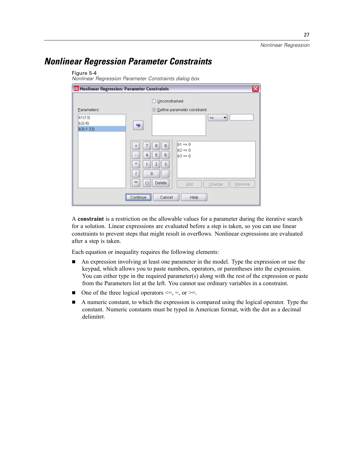## <span id="page-32-0"></span>*Nonlinear Regression Parameter Constraints*

### Figure 5-4

*Nonlinear Regression Parameter Constraints dialog box*

| Nonlinear Regression: Parameter Constraints    |                                                                                                                                                                                                               | ≅ |
|------------------------------------------------|---------------------------------------------------------------------------------------------------------------------------------------------------------------------------------------------------------------|---|
| Parameters:<br>b1(13)<br>$b2(-6)$<br>b3(-1.33) | Unconstrained<br>⊙ Define parameter constraint:<br>$\leq$<br>▼<br>٠<br>$b1 \ge 0$<br>$\overline{I}$<br>8<br>$\overline{9}$<br>$+$                                                                             |   |
|                                                | $b2 \le 0$<br>5<br>6<br>$\overline{4}$<br>$b3 \le 0$<br>3<br>$\overline{2}$<br>$\star$<br>1<br>$\overline{0}$<br>$\langle$<br>Delete<br>$\star\star$<br>Add<br>Change<br>Remove<br>Continue<br>Cancel<br>Help |   |

A **constraint** is a restriction on the allowable values for a parameter during the iterative search for a solution. Linear expressions are evaluated before a step is taken, so you can use linear constraints to prevent steps that might result in overflows. Nonlinear expressions are evaluated after a step is taken.

Each equation or inequality requires the following elements:

- An expression involving at least one parameter in the model. Type the expression or use the keypad, which allows you to paste numbers, operators, or parentheses into the expression. You can either type in the required parameter(s) along with the rest of the expression or paste from the Parameters list at the left. You cannot use ordinary variables in a constraint.
- One of the three logical operators  $\leq$ ,  $=$ , or  $\geq$ .
- A numeric constant, to which the expression is compared using the logical operator. Type the constant. Numeric constants must be typed in American format, with the dot as a decimal delimiter.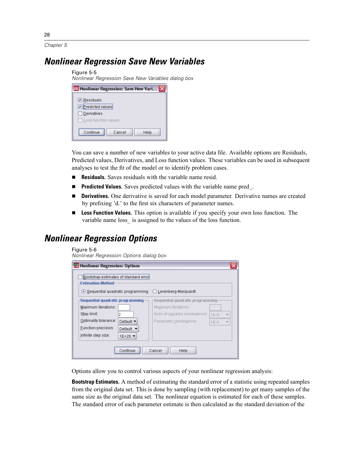### <span id="page-33-0"></span>*Nonlinear Regression Save New Variables*

| Figure 5-5                                         |  |  |  |
|----------------------------------------------------|--|--|--|
| Nonlinear Regression Save New Variables dialog box |  |  |  |

| Nonlinear Regression: Save New Vari |
|-------------------------------------|
| $\triangleright$ Residuals          |
| Predicted values                    |
| Derivatives                         |
| Loss function values                |
| Continue<br>Cancel<br>Help          |

You can save a number of new variables to your active data file. Available options are Residuals, Predicted values, Derivatives, and Loss function values. These variables can be used in subsequent analyses to test the fit of the model or to identify problem cases.

- **Residuals.** Saves residuals with the variable name resid.
- **Predicted Values.** Saves predicted values with the variable name pred.
- **Derivatives.** One derivative is saved for each model parameter. Derivative names are created by prefixing 'd.' to the first six characters of parameter names.
- **Loss Function Values.** This option is available if you specify your own loss function. The variable name loss\_ is assigned to the values of the loss function.

### *Nonlinear Regression Options*

#### Figure 5-6

*Nonlinear Regression Options dialog box*

| Nonlinear Regression: Options                                                                                                                                                                                               |                                                                                                                                      |  |  |  |  |
|-----------------------------------------------------------------------------------------------------------------------------------------------------------------------------------------------------------------------------|--------------------------------------------------------------------------------------------------------------------------------------|--|--|--|--|
| Bootstrap estimates of standard error<br><b>Estimation Method</b><br>● Sequential quadratic programming                                                                                                                     | Levenberg-Marquardt<br>$\left( -\right)$                                                                                             |  |  |  |  |
| Sequential quadratic programming<br>Maximum iterations:<br>Step limit:<br>Optimality tolerance:<br>Default $\blacktriangledown$<br>Function precision:<br>Default<br>Infinite step size:<br>$1E + 20$ $\blacktriangleright$ | Sequential quadratic programming<br>Maximum iterations:<br>Sum-of-squares convergence:<br>$1E-8$<br>Parameter convergence:<br>$1E-8$ |  |  |  |  |
| Continue<br>Cancel<br>Help                                                                                                                                                                                                  |                                                                                                                                      |  |  |  |  |

Options allow you to control various aspects of your nonlinear regression analysis:

**Bootstrap Estimates.** A method of estimating the standard error of a statistic using repeated samples from the original data set. This is done by sampling (with replacement) to get many samples of the same size as the original data set. The nonlinear equation is estimated for each of these samples. The standard error of each parameter estimate is then calculated as the standard deviation of the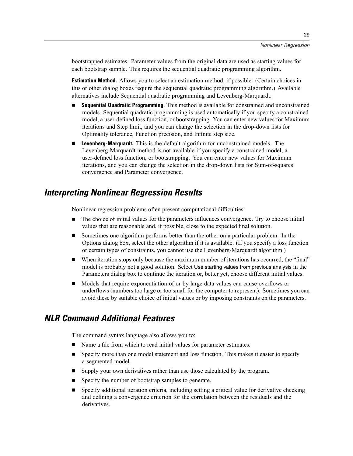29

<span id="page-34-0"></span>bootstrapped estimates. Parameter values from the original data are used as starting values for each bootstrap sample. This requires the sequential quadratic programming algorithm.

**Estimation Method.** Allows you to select an estimation method, if possible. (Certain choices in this or other dialog boxes require the sequential quadratic programming algorithm.) Available alternatives include Sequential quadratic programming and Levenberg-Marquardt.

- **Sequential Quadratic Programming.** This method is available for constrained and unconstrained models. Sequential quadratic programming is used automatically if you specify a constrained model, a user-defined loss function, or bootstrapping. You can enter new values for Maximum iterations and Step limit, and you can change the selection in the drop-down lists for Optimality tolerance, Function precision, and Infinite step size.
- **Levenberg-Marquardt.** This is the default algorithm for unconstrained models. The Levenberg-Marquardt method is not available if you specify a constrained model, a user-defined loss function, or bootstrapping. You can enter new values for Maximum iterations, and you can change the selection in the drop-down lists for Sum-of-squares convergence and Parameter convergence.

### *Interpreting Nonlinear Regression Results*

Nonlinear regression problems often present computational difficulties:

- The choice of initial values for the parameters influences convergence. Try to choose initial values that are reasonable and, if possible, close to the expected final solution.
- Sometimes one algorithm performs better than the other on a particular problem. In the Options dialog box, select the other algorithm if it is available. (If you specify a loss function or certain types of constraints, you cannot use the Levenberg-Marquardt algorithm.)
- When iteration stops only because the maximum number of iterations has occurred, the "final" model is probably not a good solution. Select Use starting values from previous analysis in the Parameters dialog box to continue the iteration or, better yet, choose different initial values.
- Models that require exponentiation of or by large data values can cause overflows or underflows (numbers too large or too small for the computer to represent). Sometimes you can avoid these by suitable choice of initial values or by imposing constraints on the parameters.

## *NLR Command Additional Features*

The command syntax language also allows you to:

- Name a file from which to read initial values for parameter estimates.
- Specify more than one model statement and loss function. This makes it easier to specify a segmented model.
- Supply your own derivatives rather than use those calculated by the program.
- Specify the number of bootstrap samples to generate.
- Specify additional iteration criteria, including setting a critical value for derivative checking and defining a convergence criterion for the correlation between the residuals and the derivatives.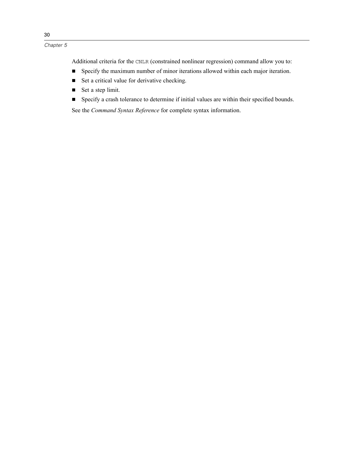30

Additional criteria for the CNLR (constrained nonlinear regression) command allow you to:

- Specify the maximum number of minor iterations allowed within each major iteration.
- Set a critical value for derivative checking.
- Set a step limit.
- Specify a crash tolerance to determine if initial values are within their specified bounds.

See the *Command Syntax Reference* for complete syntax information.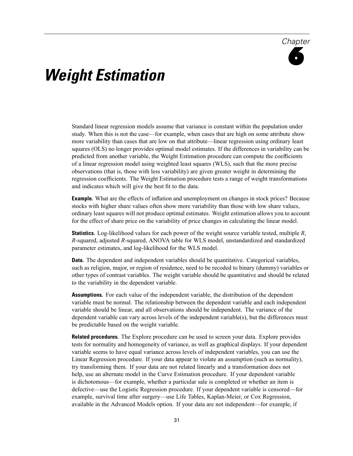## <span id="page-36-0"></span>*Weight Estimation*

Standard linear regression models assume that variance is constant within the population under study. When this is not the case—for example, when cases that are high on some attribute show more variability than cases that are low on that attribute—linear regression using ordinary least squares (OLS) no longer provides optimal model estimates. If the differences in variability can be predicted from another variable, the Weight Estimation procedure can compute the coefficients of a linear regression model using weighted least squares (WLS), such that the more precise observations (that is, those with less variability) are given greater weight in determining the regression coefficients. The Weight Estimation procedure tests a range of weight transformations and indicates which will give the best fit to the data.

**Example.** What are the effects of inflation and unemployment on changes in stock prices? Because stocks with higher share values often show more variability than those with low share values, ordinary least squares will not produce optimal estimates. Weight estimation allows you to account for the effect of share price on the variability of price changes in calculating the linear model.

**Statistics.** Log-likelihood values for each power of the weight source variable tested, multiple *R*, *R*-squared, adjusted *R*-squared, ANOVA table for WLS model, unstandardized and standardized parameter estimates, and log-likelihood for the WLS model.

**Data.** The dependent and independent variables should be quantitative. Categorical variables, such as religion, major, or region of residence, need to be recoded to binary (dummy) variables or other types of contrast variables. The weight variable should be quantitative and should be related to the variability in the dependent variable.

**Assumptions.** For each value of the independent variable, the distribution of the dependent variable must be normal. The relationship between the dependent variable and each independent variable should be linear, and all observations should be independent. The variance of the dependent variable can vary across levels of the independent variable(s), but the differences must be predictable based on the weight variable.

**Related procedures.** The Explore procedure can be used to screen your data. Explore provides tests for normality and homogeneity of variance, as well as graphical displays. If your dependent variable seems to have equal variance across levels of independent variables, you can use the Linear Regression procedure. If your data appear to violate an assumption (such as normality), try transforming them. If your data are not related linearly and a transformation does not help, use an alternate model in the Curve Estimation procedure. If your dependent variable is dichotomous—for example, whether a particular sale is completed or whether an item is defective—use the Logistic Regression procedure. If your dependent variable is censored—for example, survival time after surgery—use Life Tables, Kaplan-Meier, or Cox Regression, available in the Advanced Models option. If your data are not independent—for example, if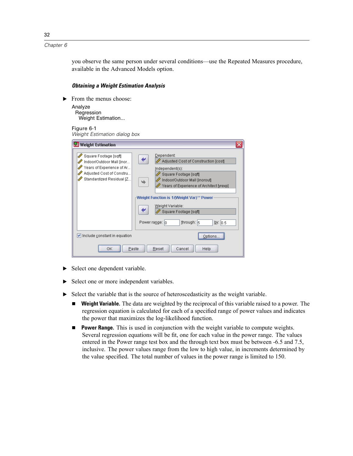you observe the same person under several conditions—use the Repeated Measures procedure, available in the Advanced Models option.

### *Obtaining a Weight Estimation Analysis*

 $\blacktriangleright$  From the menus choose:

Analyze **Regression** Weight Estimation...

Figure 6-1 *Weight Estimation dialog box*

| <b>Weight Estimation</b>                                                                                                                |                                                                                                                                                                                                                                                                                                                       |  |  |
|-----------------------------------------------------------------------------------------------------------------------------------------|-----------------------------------------------------------------------------------------------------------------------------------------------------------------------------------------------------------------------------------------------------------------------------------------------------------------------|--|--|
| Square Footage [sqft]<br>Indoor/Outdoor Mall [inor<br>Years of Experience of Ar<br>Adjusted Cost of Constru<br>Standardized Residual [Z | Dependent:<br>Adjusted Cost of Construction [cost]<br>Independent(s):<br>ier Square Footage (sqft)<br>Indoor/Outdoor Mall [inorout]<br>Years of Experience of Architect [yrexp]<br>Weight Function is 1/(Weight Var)** Power<br>Weight Variable:<br>Square Footage [sqft]<br>through: 5<br>Power range: 0<br>by: 10.5 |  |  |
| Include constant in equation                                                                                                            | Options                                                                                                                                                                                                                                                                                                               |  |  |
| Paste<br>0K.<br>Reset<br>Cancel<br>Help                                                                                                 |                                                                                                                                                                                                                                                                                                                       |  |  |

- **EXECUTE:** Select one dependent variable.
- Exercise Select one or more independent variables.
- $\triangleright$  Select the variable that is the source of heteroscedasticity as the weight variable.
	- **Weight Variable.** The data are weighted by the reciprocal of this variable raised to a power. The regression equation is calculated for each of a specified range of power values and indicates the power that maximizes the log-likelihood function.
	- **Power Range.** This is used in conjunction with the weight variable to compute weights. Several regression equations will be fit, one for each value in the power range. The values entered in the Power range test box and the through text box must be between -6.5 and 7.5, inclusive. The power values range from the low to high value, in increments determined by the value specified. The total number of values in the power range is limited to 150.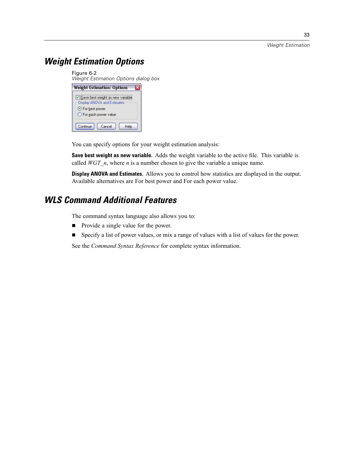*Weight Estimation*

## <span id="page-38-0"></span>*Weight Estimation Options*

### Figure 6-2 *Weight Estimation Options dialog box*



You can specify options for your weight estimation analysis:

**Save best weight as new variable.** Adds the weight variable to the active file. This variable is called *WGT\_n*, where *n* is a number chosen to give the variable a unique name.

**Display ANOVA and Estimates.** Allows you to control how statistics are displayed in the output. Available alternatives are For best power and For each power value.

## *WLS Command Additional Features*

The command syntax language also allows you to:

- **Provide a single value for the power.**
- Specify a list of power values, or mix a range of values with a list of values for the power.

See the *Command Syntax Reference* for complete syntax information.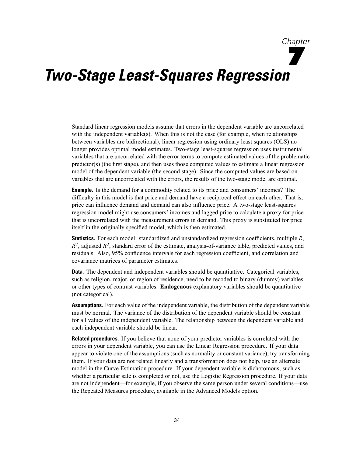# <span id="page-39-0"></span>*Two-Stage Least-Squares Regression*

Standard linear regression models assume that errors in the dependent variable are uncorrelated with the independent variable(s). When this is not the case (for example, when relationships between variables are bidirectional), linear regression using ordinary least squares (OLS) no longer provides optimal model estimates. Two-stage least-squares regression uses instrumental variables that are uncorrelated with the error terms to compute estimated values of the problematic predictor(s) (the first stage), and then uses those computed values to estimate a linear regression model of the dependent variable (the second stage). Since the computed values are based on variables that are uncorrelated with the errors, the results of the two-stage model are optimal.

**Example.** Is the demand for a commodity related to its price and consumers' incomes? The difficulty in this model is that price and demand have a reciprocal effect on each other. That is, price can influence demand and demand can also influence price. A two-stage least-squares regression model might use consumers' incomes and lagged price to calculate a proxy for price that is uncorrelated with the measurement errors in demand. This proxy is substituted for price itself in the originally specified model, which is then estimated.

**Statistics.** For each model: standardized and unstandardized regression coefficients, multiple *R*, *R*2, adjusted *R*2, standard error of the estimate, analysis-of-variance table, predicted values, and residuals. Also, 95% confidence intervals for each regression coefficient, and correlation and covariance matrices of parameter estimates.

**Data.** The dependent and independent variables should be quantitative. Categorical variables, such as religion, major, or region of residence, need to be recoded to binary (dummy) variables or other types of contrast variables. **Endogenous** explanatory variables should be quantitative (not categorical).

**Assumptions.** For each value of the independent variable, the distribution of the dependent variable must be normal. The variance of the distribution of the dependent variable should be constant for all values of the independent variable. The relationship between the dependent variable and each independent variable should be linear.

**Related procedures.** If you believe that none of your predictor variables is correlated with the errors in your dependent variable, you can use the Linear Regression procedure. If your data appear to violate one of the assumptions (such as normality or constant variance), try transforming them. If your data are not related linearly and a transformation does not help, use an alternate model in the Curve Estimation procedure. If your dependent variable is dichotomous, such as whether a particular sale is completed or not, use the Logistic Regression procedure. If your data are not independent—for example, if you observe the same person under several conditions—use the Repeated Measures procedure, available in the Advanced Models option.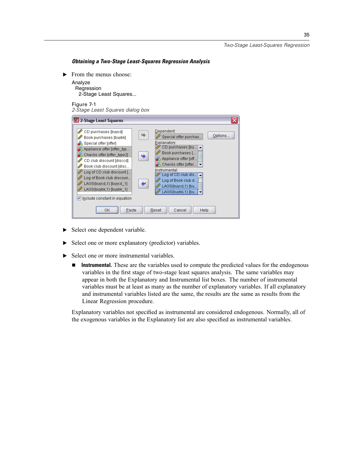*Two-Stage Least-Squares Regression*

| <b>Obtaining a Two-Stage Least-Squares Regression Analysis</b> |
|----------------------------------------------------------------|
|----------------------------------------------------------------|

- $\blacktriangleright$  From the menus choose:
	- Analyze Regression 2-Stage Least Squares...
	- Figure 7-1 *2-Stage Least Squares dialog box*

| 2-Stage Least Squares                                                                                                                                                                                                                                                                                                                                      | ×                                                                                                                                                                                                                                                                                                                |
|------------------------------------------------------------------------------------------------------------------------------------------------------------------------------------------------------------------------------------------------------------------------------------------------------------------------------------------------------------|------------------------------------------------------------------------------------------------------------------------------------------------------------------------------------------------------------------------------------------------------------------------------------------------------------------|
| CD purchases [buycd]<br>Book purchases [buybk]<br>Special offer [offer]<br>Appliance offer [offer_typ<br>Checks offer [offer type2]<br>CD club discount [disccd]<br>Book club discount [disc<br>Log of CD club discount [<br>Log of Book club discoun<br>LAGS(buycd,1) [buycd 1]<br>LAGS(buybk,1) [buybk 1]<br>Include constant in equation<br>ОK<br>Paste | Dependent:<br>Options<br>Special offer purchas<br>Explanatory:<br>CD purchases [bu  ▲<br>Book purchases [<br>Appliance offer [off<br>Checks offer [offer $\blacktriangleright$<br>Instrumental:<br>Log of CD club dis<br>Log of Book club d<br>LAGS(buycd,1) [bu<br>LAGS(buybk,1) [bu<br>Reset<br>Cancel<br>Help |

- **EXECUTE:** Select one dependent variable.
- Exercise Select one or more explanatory (predictor) variables.
- Exercise Select one or more instrumental variables.
	- **Instrumental.** These are the variables used to compute the predicted values for the endogenous variables in the first stage of two-stage least squares analysis. The same variables may appear in both the Explanatory and Instrumental list boxes. The number of instrumental variables must be at least as many as the number of explanatory variables. If all explanatory and instrumental variables listed are the same, the results are the same as results from the Linear Regression procedure.

Explanatory variables not specified as instrumental are considered endogenous. Normally, all of the exogenous variables in the Explanatory list are also specified as instrumental variables.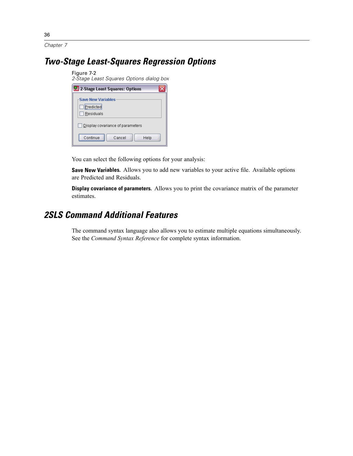## <span id="page-41-0"></span>*Two-Stage Least-Squares Regression Options*

| Figure 7-2                                           | 2-Stage Least Squares Options dialog box           |
|------------------------------------------------------|----------------------------------------------------|
| 2-Stage Least Squares: Options                       |                                                    |
| <b>Save New Variables</b><br>□Predicted<br>Residuals |                                                    |
| Continue                                             | Display covariance of parameters<br>Cancel<br>Help |

You can select the following options for your analysis:

**Save New Variables.** Allows you to add new variables to your active file. Available options are Predicted and Residuals.

**Display covariance of parameters.** Allows you to print the covariance matrix of the parameter estimates.

## *2SLS Command Additional Features*

The command syntax language also allows you to estimate multiple equations simultaneously. See the *Command Syntax Reference* for complete syntax information.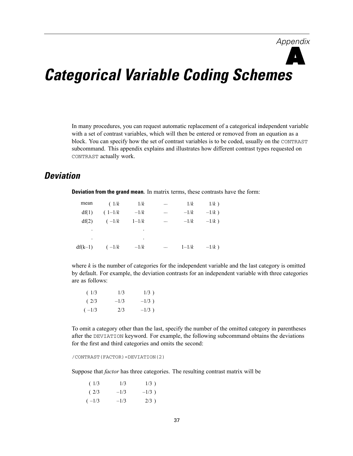### *Appendix*

# <span id="page-42-0"></span>A *Categorical Variable Coding Schemes*

In many procedures, you can request automatic replacement of a categorical independent variable with a set of contrast variables, which will then be entered or removed from an equation as a block. You can specify how the set of contrast variables is to be coded, usually on the CONTRAST subcommand. This appendix explains and illustrates how different contrast types requested on CONTRAST actually work.

### *Deviation*

**Deviation from the grand mean.** In matrix terms, these contrasts have the form:

| mean                 | (1/k)     | 1/k       | $\cdots$ | 1/k       | $1/k$ )  |
|----------------------|-----------|-----------|----------|-----------|----------|
| df(1)                | $(1-1/k)$ | $-1/k$    | $\cdots$ | $-1/k$    | $-1/k$ ) |
| df(2)                | $(-1/k)$  | $1 - 1/k$ | $\cdots$ | $-1/k$    | $-1/k$ ) |
| ٠                    |           | ٠         |          |           |          |
| $\ddot{\phantom{0}}$ |           | $\bullet$ |          |           |          |
| $df(k-1)$            | $(-1/k)$  | $-1/k$    | $\cdots$ | $1 - 1/k$ | $-1/k$ ) |

where *k* is the number of categories for the independent variable and the last category is omitted by default. For example, the deviation contrasts for an independent variable with three categories are as follows:

| (1/3)    | 1/3    | 1/3)     |
|----------|--------|----------|
| (2/3)    | $-1/3$ | $-1/3$ ) |
| $(-1/3)$ | 2/3    | $-1/3$ ) |

To omit a category other than the last, specify the number of the omitted category in parentheses after the DEVIATION keyword. For example, the following subcommand obtains the deviations for the first and third categories and omits the second:

/CONTRAST(FACTOR)=DEVIATION(2)

Suppose that *factor* has three categories. The resulting contrast matrix will be

| $1/3$ )  | 1/3    | (1/3)    |
|----------|--------|----------|
| $-1/3$ ) | $-1/3$ | (2/3)    |
| 2/3)     | $-1/3$ | $(-1/3)$ |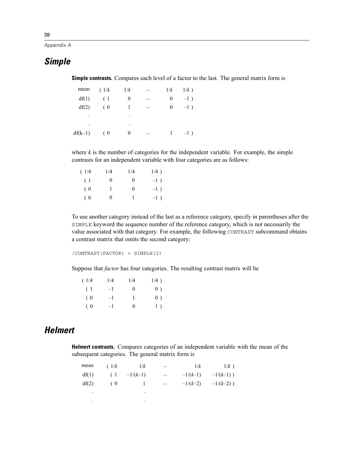<span id="page-43-0"></span>*Appendix A*

## *Simple*

**Simple contrasts.** Compares each level of a factor to the last. The general matrix form is

| mean      | (1/k) | 1/k |          | 1/k          | $1/k$ ) |
|-----------|-------|-----|----------|--------------|---------|
| df(1)     | (1    | 0   | $\cdots$ | 0            | $-1$ )  |
| df(2)     | (0)   |     |          | 0            | $-1$ )  |
| ۰         |       | ٠   |          |              |         |
| ۰         |       | ٠   |          |              |         |
| $df(k-1)$ | (0)   | 0   |          | $\mathbf{1}$ | $-1$ )  |

where  $k$  is the number of categories for the independent variable. For example, the simple contrasts for an independent variable with four categories are as follows:

| (1/4) | 1/4            | 1/4            | 1/4)   |
|-------|----------------|----------------|--------|
| (1)   | - 0            | $\overline{0}$ | $-1)$  |
| (0)   | 1              | $\overline{0}$ | $-1$ ) |
| (0)   | $\overline{0}$ | $\frac{1}{2}$  | $-1$ ) |

To use another category instead of the last as a reference category, specify in parentheses after the SIMPLE keyword the sequence number of the reference category, which is not necessarily the value associated with that category. For example, the following CONTRAST subcommand obtains a contrast matrix that omits the second category:

/CONTRAST(FACTOR) = SIMPLE(2)

Suppose that *factor* has four categories. The resulting contrast matrix will be

| (1/4) | 1/4  | 1/4            | 1/4) |
|-------|------|----------------|------|
| (1)   | $-1$ | $\overline{0}$ | 0)   |
| (0)   | $-1$ | 1              | 0)   |
| (0)   | $-1$ | $\overline{0}$ | 1)   |

### *Helmert*

**Helmert contrasts.** Compares categories of an independent variable with the mean of the subsequent categories. The general matrix form is

| mean  | (1/k) | 1/k            | $\cdots$ | 1/k        | $1/k$ )      |
|-------|-------|----------------|----------|------------|--------------|
| df(1) |       | $(1 -1/(k-1))$ | $\cdots$ | $-1/(k-1)$ | $-1/(k-1)$ ) |
| df(2) | ( 0   | $\mathbf{I}$   | $\ldots$ | $-1/(k-2)$ | $-1/(k-2)$ ) |
| ٠     |       | ٠              |          |            |              |
| ٠     |       | ٠              |          |            |              |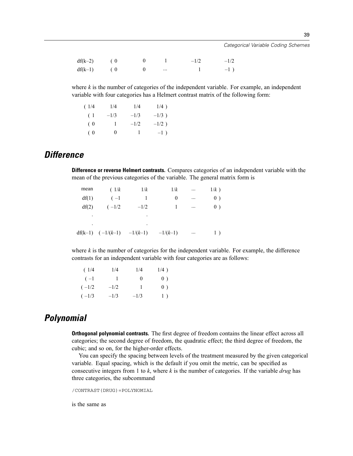*Categorical Variable Coding Schemes*

<span id="page-44-0"></span>

| $df(k-2)$ | (0) |          | $-1/2$ | $-1/2$ |
|-----------|-----|----------|--------|--------|
| $df(k-1)$ | (0) | $\cdots$ |        | $-1)$  |

where  $k$  is the number of categories of the independent variable. For example, an independent variable with four categories has a Helmert contrast matrix of the following form:

| (1/4) | 1/4      | 1/4    | 1/4)     |
|-------|----------|--------|----------|
| (1)   | $-1/3$   | $-1/3$ | $-1/3$ ) |
| (0)   | -1       | $-1/2$ | $-1/2)$  |
| (0)   | $\theta$ | $\Box$ | $-1)$    |

### *Difference*

**Difference or reverse Helmert contrasts.** Compares categories of an independent variable with the mean of the previous categories of the variable. The general matrix form is

| mean  | (1/k)                          | 1/k    | 1/k        |          | $1/k$ )        |
|-------|--------------------------------|--------|------------|----------|----------------|
| df(1) | $(-1)$                         |        | $\theta$   | .        | 0 <sub>0</sub> |
| df(2) | $(-1/2)$                       | $-1/2$ | I.         | .        | 0 <sub>0</sub> |
| ٠     |                                | ۰      |            |          |                |
|       |                                |        |            |          |                |
|       | df(k-1) $(-1/(k-1)$ $-1/(k-1)$ |        | $-1/(k-1)$ | $\cdots$ | 1)             |

where  $k$  is the number of categories for the independent variable. For example, the difference contrasts for an independent variable with four categories are as follows:

| (1/4)    | 1/4          | 1/4    | 1/4) |
|----------|--------------|--------|------|
| $(-1)$   | $\mathbf{1}$ | -0     | 0)   |
| $(-1/2)$ | $-1/2$       | - 1    | 0)   |
| $(-1/3)$ | $-1/3$       | $-1/3$ | 1)   |

### *Polynomial*

**Orthogonal polynomial contrasts.** The first degree of freedom contains the linear effect across all categories; the second degree of freedom, the quadratic effect; the third degree of freedom, the cubic; and so on, for the higher-order effects.

You can specify the spacing between levels of the treatment measured by the given categorical variable. Equal spacing, which is the default if you omit the metric, can be specified as consecutive integers from 1 to *k*, where *k* is the number of categories. If the variable *drug* has three categories, the subcommand

```
/CONTRAST(DRUG)=POLYNOMIAL
```
is the same as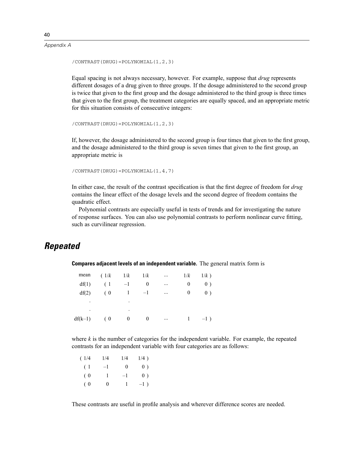<span id="page-45-0"></span>*Appendix A*

```
/CONTRAST(DRUG)=POLYNOMIAL(1,2,3)
```
Equal spacing is not always necessary, however. For example, suppose that *drug* represents different dosages of a drug given to three groups. If the dosage administered to the second group is twice that given to the first group and the dosage administered to the third group is three times that given to the first group, the treatment categories are equally spaced, and an appropriate metric for this situation consists of consecutive integers:

```
/CONTRAST(DRUG)=POLYNOMIAL(1,2,3)
```
If, however, the dosage administered to the second group is four times that given to the first group, and the dosage administered to the third group is seven times that given to the first group, an appropriate metric is

```
/CONTRAST(DRUG)=POLYNOMIAL(1,4,7)
```
In either case, the result of the contrast specification is that the first degree of freedom for *drug* contains the linear effect of the dosage levels and the second degree of freedom contains the quadratic effect.

Polynomial contrasts are especially useful in tests of trends and for investigating the nature of response surfaces. You can also use polynomial contrasts to perform nonlinear curve fitting, such as curvilinear regression.

### *Repeated*

**Compares adjacent levels of an independent variable.** The general matrix form is

| mean         | $(1/k - 1/k)$ |              | 1/k      | $\ldots$ . | 1/k            | $1/k$ ) |
|--------------|---------------|--------------|----------|------------|----------------|---------|
| df(1)        | (1)           | $-1$         | $\theta$ | $\ldots$   | $\bf{0}$       | 0)      |
| df(2)        | (0)           | $1 \quad -1$ |          | $\cdots$   | $\overline{0}$ | 0)      |
| $\bullet$    |               | ۰            |          |            |                |         |
| $\bullet$    |               | $\bullet$    |          |            |                |         |
| $df(k-1)$ (0 |               | $\bf{0}$     | $\theta$ |            | $1 -1$         |         |

where  $k$  is the number of categories for the independent variable. For example, the repeated contrasts for an independent variable with four categories are as follows:

| (1/4) | 1/4      | 1/4            | 1/4)   |
|-------|----------|----------------|--------|
| (1)   | $-1$     | - 0            | 0)     |
| (0)   | -1       | $-1$           | 0)     |
| (0)   | $\theta$ | $\overline{1}$ | $-1$ ) |

These contrasts are useful in profile analysis and wherever difference scores are needed.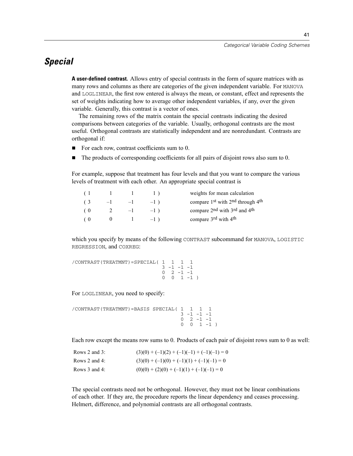### <span id="page-46-0"></span>*Special*

**A user-defined contrast.** Allows entry of special contrasts in the form of square matrices with as many rows and columns as there are categories of the given independent variable. For MANOVA and LOGLINEAR, the first row entered is always the mean, or constant, effect and represents the set of weights indicating how to average other independent variables, if any, over the given variable. Generally, this contrast is a vector of ones.

The remaining rows of the matrix contain the special contrasts indicating the desired comparisons between categories of the variable. Usually, orthogonal contrasts are the most useful. Orthogonal contrasts are statistically independent and are nonredundant. Contrasts are orthogonal if:

- $\blacksquare$  For each row, contrast coefficients sum to 0.
- $\blacksquare$  The products of corresponding coefficients for all pairs of disjoint rows also sum to 0.

For example, suppose that treatment has four levels and that you want to compare the various levels of treatment with each other. An appropriate special contrast is

| $( \quad \Box$ |      |      |        | weights for mean calculation                                     |
|----------------|------|------|--------|------------------------------------------------------------------|
| (3)            | $-1$ | $-1$ | $-1$ ) | compare $1st$ with $2nd$ through $4th$                           |
| (0             |      | $-1$ | $-1$ ) | compare 2 <sup>nd</sup> with 3 <sup>rd</sup> and 4 <sup>th</sup> |
| (0             |      |      | $-1$ ) | compare 3 <sup>rd</sup> with 4 <sup>th</sup>                     |

which you specify by means of the following CONTRAST subcommand for MANOVA, LOGISTIC REGRESSION, and COXREG:

| /CONTRAST(TREATMNT)=SPECIAL(1 1 1 1 |  |                   |  |
|-------------------------------------|--|-------------------|--|
|                                     |  | $3 - 1 - 1 - 1$   |  |
|                                     |  | $0 \t2 \t-1 \t-1$ |  |
|                                     |  | $0 \t 0 \t 1 -1$  |  |

For LOGLINEAR, you need to specify:

```
/CONTRAST(TREATMNT)=BASIS SPECIAL( 1 1 1 1
                           3 -1 -1 -10 \t 2 \t -1 \t -10 \t 0 \t 1 -1)
```
Each row except the means row sums to 0. Products of each pair of disjoint rows sum to 0 as well:

| Rows 2 and $3$ :   | $(3)(0) + (-1)(2) + (-1)(-1) + (-1)(-1) = 0$ |
|--------------------|----------------------------------------------|
| Rows 2 and 4:      | $(3)(0) + (-1)(0) + (-1)(1) + (-1)(-1) = 0$  |
| Rows $3$ and $4$ : | $(0)(0) + (2)(0) + (-1)(1) + (-1)(-1) = 0$   |

The special contrasts need not be orthogonal. However, they must not be linear combinations of each other. If they are, the procedure reports the linear dependency and ceases processing. Helmert, difference, and polynomial contrasts are all orthogonal contrasts.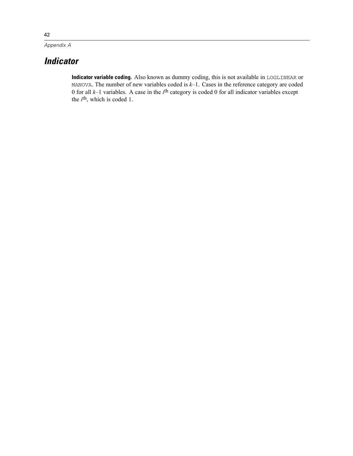<span id="page-47-0"></span>*Appendix A*

## *Indicator*

**Indicator variable coding.** Also known as dummy coding, this is not available in LOGLINEAR or MANOVA. The number of new variables coded is *k*–1. Cases in the reference category are coded 0 for all *k*–1 variables. A case in the *i*th category is coded 0 for all indicator variables except the *i*th, which is coded 1.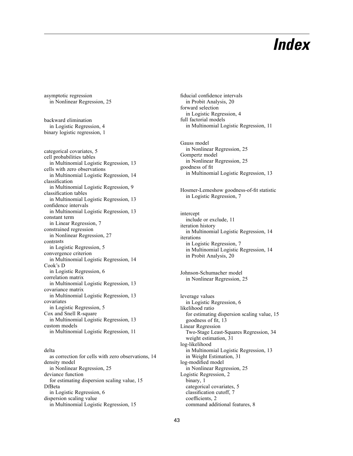## *Index*

<span id="page-48-0"></span>asymptotic regression in Nonlinear Regression, [25](#page-30-0)

backward elimination in Logistic Regression, [4](#page-9-0) binary logistic regression, [1](#page-6-0)

categorical covariates, [5](#page-10-0) cell probabilities tables in Multinomial Logistic Regression, [13](#page-18-0) cells with zero observations in Multinomial Logistic Regression, [14](#page-19-0) classification in Multinomial Logistic Regression, [9](#page-14-0) classification tables in Multinomial Logistic Regression, [13](#page-18-0) confidence intervals in Multinomial Logistic Regression, [13](#page-18-0) constant term in Linear Regression, [7](#page-12-0) constrained regression in Nonlinear Regression, [27](#page-32-0) contrasts in Logistic Regression, [5](#page-10-0) convergence criterion in Multinomial Logistic Regression, [14](#page-19-0) Cook's D in Logistic Regression, [6](#page-11-0) correlation matrix in Multinomial Logistic Regression, [13](#page-18-0) covariance matrix in Multinomial Logistic Regression, [13](#page-18-0) covariates in Logistic Regression, [5](#page-10-0) Cox and Snell R-square in Multinomial Logistic Regression, [13](#page-18-0) custom models in Multinomial Logistic Regression, [11](#page-16-0)

### delta

as correction for cells with zero observations, [14](#page-19-0) density model in Nonlinear Regression, [25](#page-30-0) deviance function for estimating dispersion scaling value, [15](#page-20-0) DfBeta in Logistic Regression, [6](#page-11-0) dispersion scaling value in Multinomial Logistic Regression, [15](#page-20-0)

fiducial confidence intervals in Probit Analysis, [20](#page-25-0) forward selection in Logistic Regression, [4](#page-9-0) full factorial models in Multinomial Logistic Regression, [11](#page-16-0)

Gauss model in Nonlinear Regression, [25](#page-30-0) Gompertz model in Nonlinear Regression, [25](#page-30-0) goodness of fit in Multinomial Logistic Regression, [13](#page-18-0)

Hosmer-Lemeshow goodness-of-fit statistic in Logistic Regression, [7](#page-12-0)

intercept include or exclude, [11](#page-16-0) iteration history in Multinomial Logistic Regression, [14](#page-19-0) iterations in Logistic Regression, [7](#page-12-0) in Multinomial Logistic Regression, [14](#page-19-0) in Probit Analysis, [20](#page-25-0)

Johnson-Schumacher model in Nonlinear Regression, [25](#page-30-0)

leverage values in Logistic Regression, [6](#page-11-0) likelihood ratio for estimating dispersion scaling value, [15](#page-20-0) goodness of fit, [13](#page-18-0) Linear Regression Two-Stage Least-Squares Regression, [34](#page-39-0) weight estimation, [31](#page-36-0) log-likelihood in Multinomial Logistic Regression, [13](#page-18-0) in Weight Estimation, [31](#page-36-0) log-modified model in Nonlinear Regression, [25](#page-30-0) Logistic Regression, [2](#page-7-0) binary, [1](#page-6-0) categorical covariates, [5](#page-10-0) classification cutoff, [7](#page-12-0) coefficients, [2](#page-7-0) command additional features, [8](#page-13-0)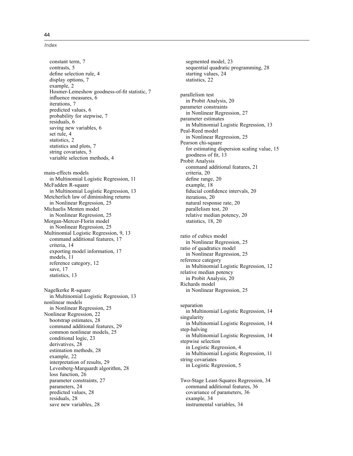*Index*

constant term, [7](#page-12-0) contrasts, [5](#page-10-0) define selection rule, [4](#page-9-0) display options, [7](#page-12-0) example, [2](#page-7-0) Hosmer-Lemeshow goodness-of-fit statistic, [7](#page-12-0) influence measures, [6](#page-11-0) iterations, [7](#page-12-0) predicted values, [6](#page-11-0) probability for stepwise, [7](#page-12-0) residuals, [6](#page-11-0) saving new variables, [6](#page-11-0) set rule, [4](#page-9-0) statistics, [2](#page-7-0) statistics and plots, [7](#page-12-0) string covariates, [5](#page-10-0) variable selection methods, [4](#page-9-0) main-effects models in Multinomial Logistic Regression, [11](#page-16-0) McFadden R-square in Multinomial Logistic Regression, [13](#page-18-0) Metcherlich law of diminishing returns in Nonlinear Regression, [25](#page-30-0) Michaelis Menten model in Nonlinear Regression, [25](#page-30-0) Morgan-Mercer-Florin model in Nonlinear Regression, [25](#page-30-0) Multinomial Logistic Regression, [9](#page-14-0), [13](#page-18-0) command additional features, [17](#page-22-0) criteria, [14](#page-19-0) exporting model information, [17](#page-22-0) models, [11](#page-16-0)

Nagelkerke R-square in Multinomial Logistic Regression, [13](#page-18-0) nonlinear models in Nonlinear Regression, [25](#page-30-0) Nonlinear Regression, [22](#page-27-0) bootstrap estimates, [28](#page-33-0) command additional features, [29](#page-34-0) common nonlinear models, [25](#page-30-0) conditional logic, [23](#page-28-0) derivatives, [28](#page-33-0) estimation methods, [28](#page-33-0) example, [22](#page-27-0) interpretation of results, [29](#page-34-0) Levenberg-Marquardt algorithm, [28](#page-33-0) loss function, [26](#page-31-0) parameter constraints, [27](#page-32-0) parameters, [24](#page-29-0) predicted values, [28](#page-33-0) residuals, [28](#page-33-0) save new variables, [28](#page-33-0)

reference category, [12](#page-17-0)

save, [17](#page-22-0) statistics, [13](#page-18-0)

sequential quadratic programming, [28](#page-33-0) starting values, [24](#page-29-0) statistics, [22](#page-27-0) parallelism test in Probit Analysis, [20](#page-25-0) parameter constraints in Nonlinear Regression, [27](#page-32-0) parameter estimates in Multinomial Logistic Regression, [13](#page-18-0) Peal-Reed model in Nonlinear Regression, [25](#page-30-0) Pearson chi-square for estimating dispersion scaling value, [15](#page-20-0) goodness of fit, [13](#page-18-0) Probit Analysis command additional features, [21](#page-26-0) criteria, [20](#page-25-0) define range, [20](#page-25-0) example, [18](#page-23-0) fiducial confidence intervals, [20](#page-25-0) iterations, [20](#page-25-0) natural response rate, [20](#page-25-0) parallelism test, [20](#page-25-0) relative median potency, [20](#page-25-0) statistics, [18,](#page-23-0) [20](#page-25-0)

segmented model, [23](#page-28-0)

ratio of cubics model in Nonlinear Regression, [25](#page-30-0) ratio of quadratics model in Nonlinear Regression, [25](#page-30-0) reference category in Multinomial Logistic Regression, [12](#page-17-0) relative median potency in Probit Analysis, [20](#page-25-0) Richards model in Nonlinear Regression, [25](#page-30-0)

separation in Multinomial Logistic Regression, [14](#page-19-0) singularity in Multinomial Logistic Regression, [14](#page-19-0) step-halving in Multinomial Logistic Regression, [14](#page-19-0) stepwise selection in Logistic Regression, [4](#page-9-0) in Multinomial Logistic Regression, [11](#page-16-0) string covariates in Logistic Regression, [5](#page-10-0)

Two-Stage Least-Squares Regression, [34](#page-39-0) command additional features, [36](#page-41-0) covariance of parameters, [36](#page-41-0) example, [34](#page-39-0) instrumental variables, [34](#page-39-0)